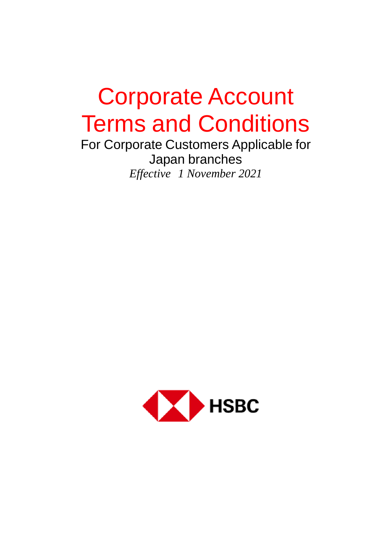# Corporate Account Terms and Conditions

For Corporate Customers Applicable for Japan branches *Effective 1 November 2021*

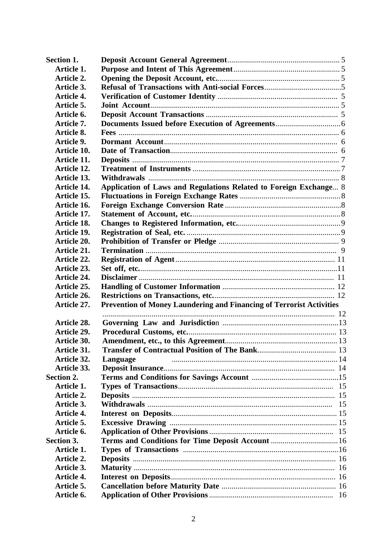| Section 1.         |                                                                      |    |
|--------------------|----------------------------------------------------------------------|----|
| Article 1.         |                                                                      |    |
| Article 2.         |                                                                      |    |
| Article 3.         |                                                                      |    |
| Article 4.         |                                                                      |    |
| Article 5.         |                                                                      |    |
| Article 6.         |                                                                      |    |
| Article 7.         |                                                                      |    |
| Article 8.         |                                                                      |    |
| Article 9.         |                                                                      |    |
| Article 10.        |                                                                      |    |
| Article 11.        |                                                                      |    |
| Article 12.        |                                                                      |    |
| Article 13.        |                                                                      |    |
| Article 14.        | Application of Laws and Regulations Related to Foreign Exchange 8    |    |
| Article 15.        |                                                                      |    |
| Article 16.        |                                                                      |    |
| Article 17.        |                                                                      |    |
| Article 18.        |                                                                      |    |
| Article 19.        |                                                                      |    |
| Article 20.        |                                                                      |    |
| Article 21.        |                                                                      |    |
| Article 22.        |                                                                      |    |
| Article 23.        |                                                                      |    |
| <b>Article 24.</b> |                                                                      |    |
| Article 25.        |                                                                      |    |
| Article 26.        |                                                                      |    |
| Article 27.        | Prevention of Money Laundering and Financing of Terrorist Activities |    |
|                    |                                                                      |    |
| Article 28.        |                                                                      |    |
| Article 29.        |                                                                      |    |
| Article 30.        |                                                                      |    |
| Article 31.        |                                                                      |    |
| Article 32.        | Language                                                             |    |
| Article 33.        |                                                                      |    |
| Section 2.         |                                                                      |    |
| Article 1.         |                                                                      |    |
| Article 2.         |                                                                      |    |
| Article 3.         |                                                                      | 15 |
| Article 4.         |                                                                      |    |
| Article 5.         |                                                                      |    |
| Article 6.         |                                                                      |    |
| Section 3.         | Terms and Conditions for Time Deposit Account  16                    |    |
| Article 1.         |                                                                      |    |
| Article 2.         |                                                                      |    |
| Article 3.         |                                                                      |    |
| Article 4.         |                                                                      |    |
| Article 5.         |                                                                      |    |
| Article 6.         |                                                                      |    |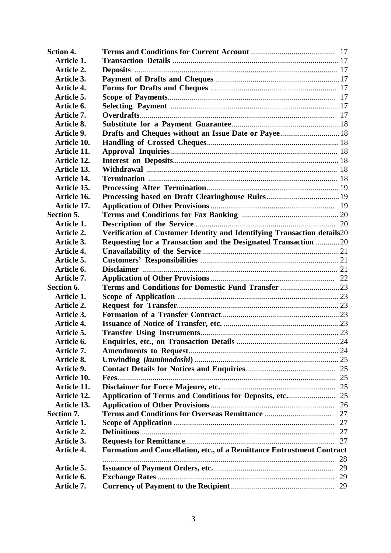| <b>Sction 4.</b>   |                                                                         |    |
|--------------------|-------------------------------------------------------------------------|----|
| Article 1.         |                                                                         |    |
| Article 2.         |                                                                         |    |
| Article 3.         |                                                                         |    |
| Article 4.         |                                                                         |    |
| Article 5.         |                                                                         |    |
| Article 6.         |                                                                         |    |
| Article 7.         |                                                                         |    |
| Article 8.         |                                                                         |    |
| Article 9.         |                                                                         |    |
| <b>Article 10.</b> |                                                                         |    |
| Article 11.        |                                                                         |    |
| <b>Article 12.</b> |                                                                         |    |
| <b>Article 13.</b> |                                                                         |    |
| <b>Article 14.</b> |                                                                         |    |
| Article 15.        |                                                                         |    |
| Article 16.        |                                                                         |    |
| <b>Article 17.</b> |                                                                         |    |
| Section 5.         |                                                                         |    |
| Article 1.         |                                                                         |    |
| Article 2.         | Verification of Customer Identity and Identifying Transaction details20 |    |
| Article 3.         | Requesting for a Transaction and the Designated Transaction 20          |    |
| Article 4.         |                                                                         |    |
| Article 5.         |                                                                         |    |
| Article 6.         |                                                                         |    |
| Article 7.         |                                                                         |    |
| Section 6.         |                                                                         |    |
| Article 1.         |                                                                         |    |
| Article 2.         |                                                                         |    |
| Article 3.         |                                                                         |    |
| Article 4.         |                                                                         |    |
| Article 5.         |                                                                         |    |
| Article 6.         |                                                                         |    |
| Article 7.         |                                                                         |    |
| Article 8.         |                                                                         |    |
| Article 9.         |                                                                         |    |
| Article 10.        |                                                                         |    |
| Article 11.        |                                                                         |    |
| Article 12.        |                                                                         |    |
| Article 13.        |                                                                         |    |
| Section 7.         |                                                                         | 27 |
| Article 1.         |                                                                         |    |
| Article 2.         |                                                                         | 27 |
| Article 3.         |                                                                         | 27 |
| Article 4.         | Formation and Cancellation, etc., of a Remittance Entrustment Contract  |    |
|                    |                                                                         | 28 |
| Article 5.         |                                                                         |    |
| Article 6.         |                                                                         |    |
| Article 7.         |                                                                         |    |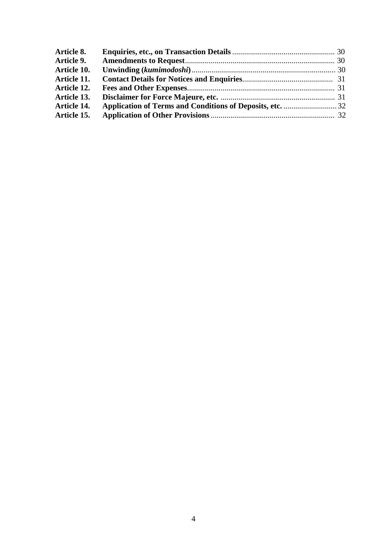| Article 8.        |  |
|-------------------|--|
| <b>Article 9.</b> |  |
| Article 10.       |  |
| Article 11.       |  |
| Article 12.       |  |
| Article 13.       |  |
| Article 14.       |  |
| Article 15.       |  |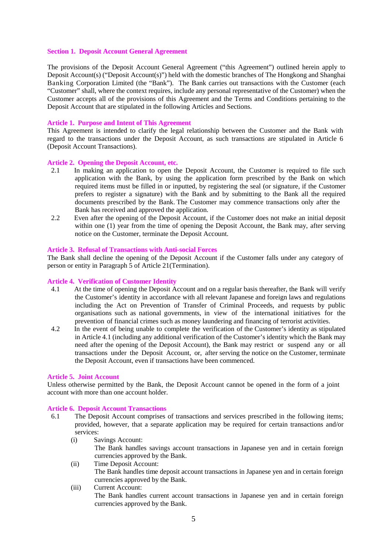#### **Section 1. Deposit Account General Agreement**

The provisions of the Deposit Account General Agreement ("this Agreement") outlined herein apply to Deposit Account(s) ("Deposit Account(s)") held with the domestic branches of The Hongkong and Shanghai Banking Corporation Limited (the "Bank"). The Bank carries out transactions with the Customer (each "Customer" shall, where the context requires, include any personal representative of the Customer) when the Customer accepts all of the provisions of this Agreement and the Terms and Conditions pertaining to the Deposit Account that are stipulated in the following Articles and Sections.

#### **Article 1. Purpose and Intent of This Agreement**

This Agreement is intended to clarify the legal relationship between the Customer and the Bank with regard to the transactions under the Deposit Account, as such transactions are stipulated in Article 6 (Deposit Account Transactions).

# **Article 2. Opening the Deposit Account, etc.**

- 2.1 In making an application to open the Deposit Account, the Customer is required to file such application with the Bank, by using the application form prescribed by the Bank on which required items must be filled in or inputted, by registering the seal (or signature, if the Customer prefers to register a signature) with the Bank and by submitting to the Bank all the required documents prescribed by the Bank. The Customer may commence transactions only after the Bank has received and approved the application.
- 2.2 Even after the opening of the Deposit Account, if the Customer does not make an initial deposit within one (1) year from the time of opening the Deposit Account, the Bank may, after serving notice on the Customer, terminate the Deposit Account.

#### **Article 3. Refusal of Transactions with Anti-social Forces**

The Bank shall decline the opening of the Deposit Account if the Customer falls under any category of person or entity in Paragraph 5 of Article 21(Termination).

#### **Article 4. Verification of Customer Identity**

- 4.1 At the time of opening the Deposit Account and on a regular basis thereafter, the Bank will verify the Customer's identity in accordance with all relevant Japanese and foreign laws and regulations including the Act on Prevention of Transfer of Criminal Proceeds, and requests by public organisations such as national governments, in view of the international initiatives for the prevention of financial crimes such as money laundering and financing of terrorist activities.
- 4.2 In the event of being unable to complete the verification of the Customer's identity as stipulated in Article 4.1 (including any additional verification of the Customer's identity which the Bank may need after the opening of the Deposit Account), the Bank may restrict or suspend any or all transactions under the Deposit Account, or, after serving the notice on the Customer, terminate the Deposit Account, even if transactions have been commenced.

#### **Article 5. Joint Account**

Unless otherwise permitted by the Bank, the Deposit Account cannot be opened in the form of a joint account with more than one account holder.

#### **Article 6. Deposit Account Transactions**

- 6.1 The Deposit Account comprises of transactions and services prescribed in the following items; provided, however, that a separate application may be required for certain transactions and/or services:
	- (i) Savings Account: The Bank handles savings account transactions in Japanese yen and in certain foreign currencies approved by the Bank.
	- (ii) Time Deposit Account: The Bank handles time deposit account transactions in Japanese yen and in certain foreign currencies approved by the Bank.
	- (iii) Current Account: The Bank handles current account transactions in Japanese yen and in certain foreign currencies approved by the Bank.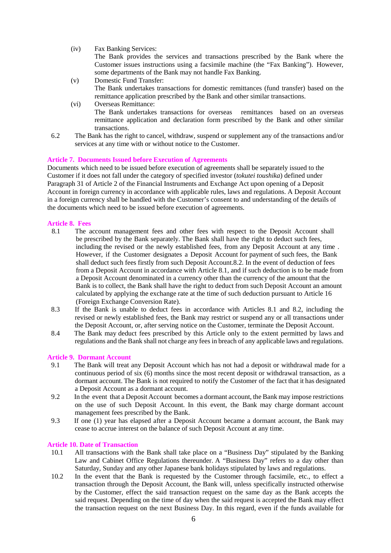(iv) Fax Banking Services:

The Bank provides the services and transactions prescribed by the Bank where the Customer issues instructions using a facsimile machine (the "Fax Banking"). However, some departments of the Bank may not handle Fax Banking.

- (v) Domestic Fund Transfer: The Bank undertakes transactions for domestic remittances (fund transfer) based on the remittance application prescribed by the Bank and other similar transactions.
- (vi) Overseas Remittance: The Bank undertakes transactions for overseas remittances based on an overseas remittance application and declaration form prescribed by the Bank and other similar transactions.
- 6.2 The Bank has the right to cancel, withdraw, suspend or supplement any of the transactions and/or services at any time with or without notice to the Customer.

# **Article 7. Documents Issued before Execution of Agreements**

Documents which need to be issued before execution of agreements shall be separately issued to the Customer if it does not fall under the category of specified investor (*tokutei toushika*) defined under Paragraph 31 of Article 2 of the Financial Instruments and Exchange Act upon opening of a Deposit Account in foreign currency in accordance with applicable rules, laws and regulations. A Deposit Account in a foreign currency shall be handled with the Customer's consent to and understanding of the details of the documents which need to be issued before execution of agreements.

# **Article 8. Fees**

- 8.1 The account management fees and other fees with respect to the Deposit Account shall be prescribed by the Bank separately. The Bank shall have the right to deduct such fees, including the revised or the newly established fees, from any Deposit Account at any time . However, if the Customer designates a Deposit Account for payment of such fees, the Bank shall deduct such fees firstly from such Deposit Account.8.2. In the event of deduction of fees from a Deposit Account in accordance with Article 8.1, and if such deduction is to be made from a Deposit Account denominated in a currency other than the currency of the amount that the Bank is to collect, the Bank shall have the right to deduct from such Deposit Account an amount calculated by applying the exchange rate at the time of such deduction pursuant to Article 16 (Foreign Exchange Conversion Rate).
- 8.3 If the Bank is unable to deduct fees in accordance with Articles 8.1 and 8.2, including the revised or newly established fees, the Bank may restrict or suspend any or all transactions under the Deposit Account, or, after serving notice on the Customer, terminate the Deposit Account.
- 8.4 The Bank may deduct fees prescribed by this Article only to the extent permitted by laws and regulations and the Bank shall not charge any fees in breach of any applicable laws and regulations.

## **Article 9. Dormant Account**

- 9.1 The Bank will treat any Deposit Account which has not had a deposit or withdrawal made for a continuous period of six (6) months since the most recent deposit or withdrawal transaction, as a dormant account. The Bank is not required to notify the Customer of the fact that it has designated a Deposit Account as a dormant account.
- 9.2 In the event that a Deposit Account becomes a dormant account, the Bank may impose restrictions on the use of such Deposit Account. In this event, the Bank may charge dormant account management fees prescribed by the Bank.
- 9.3 If one (1) year has elapsed after a Deposit Account became a dormant account, the Bank may cease to accrue interest on the balance of such Deposit Account at any time.

## **Article 10. Date of Transaction**

- 10.1 All transactions with the Bank shall take place on a "Business Day" stipulated by the Banking Law and Cabinet Office Regulations thereunder. A "Business Day" refers to a day other than Saturday, Sunday and any other Japanese bank holidays stipulated by laws and regulations.
- 10.2 In the event that the Bank is requested by the Customer through facsimile, etc., to effect a transaction through the Deposit Account, the Bank will, unless specifically instructed otherwise by the Customer, effect the said transaction request on the same day as the Bank accepts the said request. Depending on the time of day when the said request is accepted the Bank may effect the transaction request on the next Business Day. In this regard, even if the funds available for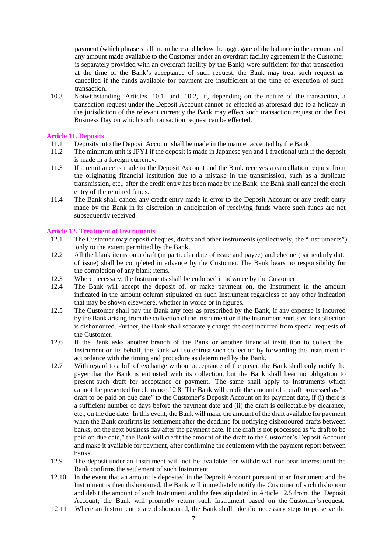payment (which phrase shall mean here and below the aggregate of the balance in the account and any amount made available to the Customer under an overdraft facility agreement if the Customer is separately provided with an overdraft facility by the Bank) were sufficient for that transaction at the time of the Bank's acceptance of such request, the Bank may treat such request as cancelled if the funds available for payment are insufficient at the time of execution of such transaction.

10.3 Notwithstanding Articles 10.1 and 10.2, if, depending on the nature of the transaction, a transaction request under the Deposit Account cannot be effected as aforesaid due to a holiday in the jurisdiction of the relevant currency the Bank may effect such transaction request on the first Business Day on which such transaction request can be effected.

## **Article 11. Deposits**

- 11.1 Deposits into the Deposit Account shall be made in the manner accepted by the Bank.
- 11.2 The minimum unit is JPY1 if the deposit is made in Japanese yen and 1 fractional unit if the deposit is made in a foreign currency.
- 11.3 If a remittance is made to the Deposit Account and the Bank receives a cancellation request from the originating financial institution due to a mistake in the transmission, such as a duplicate transmission, etc., after the credit entry has been made by the Bank, the Bank shall cancel the credit entry of the remitted funds.
- 11.4 The Bank shall cancel any credit entry made in error to the Deposit Account or any credit entry made by the Bank in its discretion in anticipation of receiving funds where such funds are not subsequently received.

# **Article 12. Treatment of Instruments**

- 12.1 The Customer may deposit cheques, drafts and other instruments (collectively, the "Instruments") only to the extent permitted by the Bank.
- 12.2 All the blank items on a draft (in particular date of issue and payee) and cheque (particularly date of issue) shall be completed in advance by the Customer. The Bank bears no responsibility for the completion of any blank items.
- 12.3 Where necessary, the Instruments shall be endorsed in advance by the Customer.
- 12.4 The Bank will accept the deposit of, or make payment on, the Instrument in the amount indicated in the amount column stipulated on such Instrument regardless of any other indication that may be shown elsewhere, whether in words or in figures.
- 12.5 The Customer shall pay the Bank any fees as prescribed by the Bank, if any expense is incurred by the Bank arising from the collection of the Instrument or if the Instrument entrusted for collection is dishonoured. Further, the Bank shall separately charge the cost incurred from special requests of the Customer.
- 12.6 If the Bank asks another branch of the Bank or another financial institution to collect the Instrument on its behalf, the Bank will so entrust such collection by forwarding the Instrument in accordance with the timing and procedure as determined by the Bank.
- 12.7 With regard to a bill of exchange without acceptance of the payer, the Bank shall only notify the payer that the Bank is entrusted with its collection, but the Bank shall bear no obligation to present such draft for acceptance or payment. The same shall apply to Instruments which cannot be presented for clearance.12.8 The Bank will credit the amount of a draft processed as "a draft to be paid on due date" to the Customer's Deposit Account on its payment date, if (i) there is a sufficient number of days before the payment date and (ii) the draft is collectable by clearance, etc., on the due date. In this event, the Bank will make the amount of the draft available for payment when the Bank confirms its settlement after the deadline for notifying dishonoured drafts between banks, on the next business day after the payment date. If the draft is not processed as "a draft to be paid on due date," the Bank will credit the amount of the draft to the Customer's Deposit Account and make it available for payment, after confirming the settlement with the payment report between banks.
- 12.9 The deposit under an Instrument will not be available for withdrawal nor bear interest until the Bank confirms the settlement of such Instrument.
- 12.10 In the event that an amount is deposited in the Deposit Account pursuant to an Instrument and the Instrument is then dishonoured, the Bank will immediately notify the Customer of such dishonour and debit the amount of such Instrument and the fees stipulated in Article 12.5 from the Deposit Account; the Bank will promptly return such Instrument based on the Customer's request.
- 12.11 Where an Instrument is are dishonoured, the Bank shall take the necessary steps to preserve the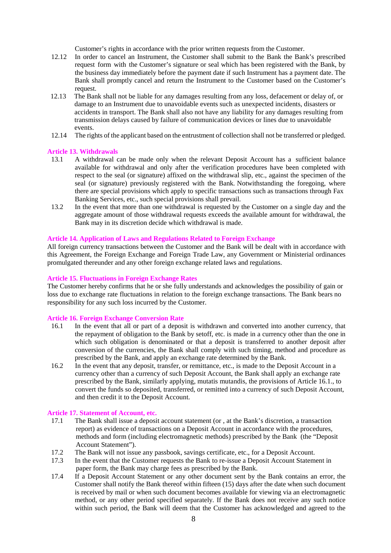Customer's rights in accordance with the prior written requests from the Customer.

- 12.12 In order to cancel an Instrument, the Customer shall submit to the Bank the Bank's prescribed request form with the Customer's signature or seal which has been registered with the Bank, by the business day immediately before the payment date if such Instrument has a payment date. The Bank shall promptly cancel and return the Instrument to the Customer based on the Customer's request.
- 12.13 The Bank shall not be liable for any damages resulting from any loss, defacement or delay of, or damage to an Instrument due to unavoidable events such as unexpected incidents, disasters or accidents in transport. The Bank shall also not have any liability for any damages resulting from transmission delays caused by failure of communication devices or lines due to unavoidable events.
- 12.14 The rights of the applicant based on the entrustment of collection shall not be transferred or pledged.

## **Article 13. Withdrawals**

- 13.1 A withdrawal can be made only when the relevant Deposit Account has a sufficient balance available for withdrawal and only after the verification procedures have been completed with respect to the seal (or signature) affixed on the withdrawal slip, etc., against the specimen of the seal (or signature) previously registered with the Bank. Notwithstanding the foregoing, where there are special provisions which apply to specific transactions such as transactions through Fax Banking Services, etc., such special provisions shall prevail.
- 13.2 In the event that more than one withdrawal is requested by the Customer on a single day and the aggregate amount of those withdrawal requests exceeds the available amount for withdrawal, the Bank may in its discretion decide which withdrawal is made.

#### **Article 14. Application of Laws and Regulations Related to Foreign Exchange**

All foreign currency transactions between the Customer and the Bank will be dealt with in accordance with this Agreement, the Foreign Exchange and Foreign Trade Law, any Government or Ministerial ordinances promulgated thereunder and any other foreign exchange related laws and regulations.

#### **Article 15. Fluctuations in Foreign Exchange Rates**

The Customer hereby confirms that he or she fully understands and acknowledges the possibility of gain or loss due to exchange rate fluctuations in relation to the foreign exchange transactions. The Bank bears no responsibility for any such loss incurred by the Customer.

#### **Article 16. Foreign Exchange Conversion Rate**

- 16.1 In the event that all or part of a deposit is withdrawn and converted into another currency, that the repayment of obligation to the Bank by setoff, etc. is made in a currency other than the one in which such obligation is denominated or that a deposit is transferred to another deposit after conversion of the currencies, the Bank shall comply with such timing, method and procedure as prescribed by the Bank, and apply an exchange rate determined by the Bank.
- 16.2 In the event that any deposit, transfer, or remittance, etc., is made to the Deposit Account in a currency other than a currency of such Deposit Account, the Bank shall apply an exchange rate prescribed by the Bank, similarly applying, mutatis mutandis, the provisions of Article 16.1., to convert the funds so deposited, transferred, or remitted into a currency of such Deposit Account, and then credit it to the Deposit Account.

#### **Article 17. Statement of Account, etc.**

- 17.1 The Bank shall issue a deposit account statement (or , at the Bank's discretion, a transaction report) as evidence of transactions on a Deposit Account in accordance with the procedures, methods and form (including electromagnetic methods) prescribed by the Bank (the "Deposit Account Statement").
- 17.2 The Bank will not issue any passbook, savings certificate, etc., for a Deposit Account.
- 17.3 In the event that the Customer requests the Bank to re-issue a Deposit Account Statement in paper form, the Bank may charge fees as prescribed by the Bank.
- 17.4 If a Deposit Account Statement or any other document sent by the Bank contains an error, the Customer shall notify the Bank thereof within fifteen (15) days after the date when such document is received by mail or when such document becomes available for viewing via an electromagnetic method, or any other period specified separately. If the Bank does not receive any such notice within such period, the Bank will deem that the Customer has acknowledged and agreed to the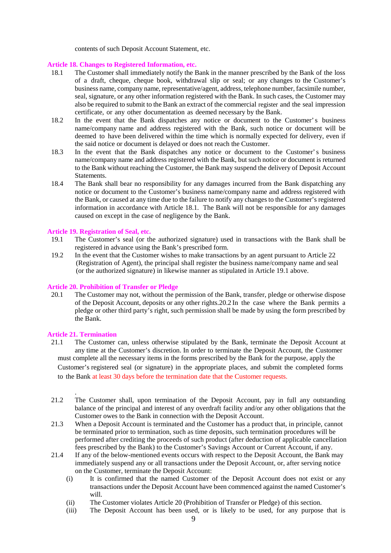contents of such Deposit Account Statement, etc.

## **Article 18. Changes to Registered Information, etc.**

- 18.1 The Customer shall immediately notify the Bank in the manner prescribed by the Bank of the loss of a draft, cheque, cheque book, withdrawal slip or seal; or any changes to the Customer's business name, company name, representative/agent, address, telephone number, facsimile number, seal, signature, or any other information registered with the Bank. In such cases, the Customer may also be required to submit to the Bank an extract of the commercial register and the seal impression certificate, or any other documentation as deemed necessary by the Bank.
- 18.2 In the event that the Bank dispatches any notice or document to the Customer' s business name/company name and address registered with the Bank, such notice or document will be deemed to have been delivered within the time which is normally expected for delivery, even if the said notice or document is delayed or does not reach the Customer.
- 18.3 In the event that the Bank dispatches any notice or document to the Customer' s business name/company name and address registered with the Bank, but such notice or document is returned to the Bank without reaching the Customer, the Bank may suspend the delivery of Deposit Account Statements.
- 18.4 The Bank shall bear no responsibility for any damages incurred from the Bank dispatching any notice or document to the Customer's business name/company name and address registered with the Bank, or caused at any time due to the failure to notify any changes to the Customer's registered information in accordance with Article 18.1. The Bank will not be responsible for any damages caused on except in the case of negligence by the Bank.

# **Article 19. Registration of Seal, etc.**

- 19.1 The Customer's seal (or the authorized signature) used in transactions with the Bank shall be registered in advance using the Bank's prescribed form.
- 19.2 In the event that the Customer wishes to make transactions by an agent pursuant to Article 22 (Registration of Agent), the principal shall register the business name/company name and seal (or the authorized signature) in likewise manner as stipulated in Article 19.1 above.

# **Article 20. Prohibition of Transfer or Pledge**

20.1 The Customer may not, without the permission of the Bank, transfer, pledge or otherwise dispose of the Deposit Account, deposits or any other rights.20.2 In the case where the Bank permits a pledge or other third party's right, such permission shall be made by using the form prescribed by the Bank.

# **Article 21. Termination**

.

- 21.1 The Customer can, unless otherwise stipulated by the Bank, terminate the Deposit Account at any time at the Customer's discretion. In order to terminate the Deposit Account, the Customer must complete all the necessary items in the forms prescribed by the Bank for the purpose, apply the Customer's registered seal (or signature) in the appropriate places, and submit the completed forms to the Bank at least 30 days before the termination date that the Customer requests.
- 21.2 The Customer shall, upon termination of the Deposit Account, pay in full any outstanding balance of the principal and interest of any overdraft facility and/or any other obligations that the Customer owes to the Bank in connection with the Deposit Account.
- 21.3 When a Deposit Account is terminated and the Customer has a product that, in principle, cannot be terminated prior to termination, such as time deposits, such termination procedures will be performed after crediting the proceeds of such product (after deduction of applicable cancellation fees prescribed by the Bank) to the Customer's Savings Account or Current Account, if any.
- 21.4 If any of the below-mentioned events occurs with respect to the Deposit Account, the Bank may immediately suspend any or all transactions under the Deposit Account, or, after serving notice on the Customer, terminate the Deposit Account:
	- (i) It is confirmed that the named Customer of the Deposit Account does not exist or any transactions under the Deposit Account have been commenced against the named Customer's will.
	- (ii) The Customer violates Article 20 (Prohibition of Transfer or Pledge) of this section.
	- (iii) The Deposit Account has been used, or is likely to be used, for any purpose that is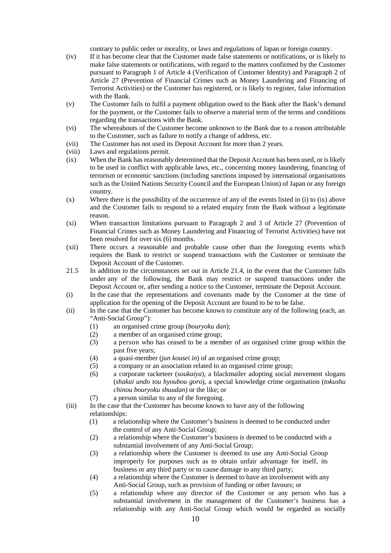contrary to public order or morality, or laws and regulations of Japan or foreign country.

- (iv) If it has become clear that the Customer made false statements or notifications, or is likely to make false statements or notifications, with regard to the matters confirmed by the Customer pursuant to Paragraph 1 of Article 4 (Verification of Customer Identity) and Paragraph 2 of Article 27 (Prevention of Financial Crimes such as Money Laundering and Financing of Terrorist Activities) or the Customer has registered, or is likely to register, false information with the Bank.
- (v) The Customer fails to fulfil a payment obligation owed to the Bank after the Bank's demand for the payment, or the Customer fails to observe a material term of the terms and conditions regarding the transactions with the Bank.
- (vi) The whereabouts of the Customer become unknown to the Bank due to a reason attributable to the Customer, such as failure to notify a change of address, etc.
- (vii) The Customer has not used its Deposit Account for more than 2 years.
- (viii) Laws and regulations permit.
- (ix) When the Bank has reasonably determined that the Deposit Account has been used, or is likely to be used in conflict with applicable laws, etc., concerning money laundering, financing of terrorism or economic sanctions (including sanctions imposed by international organisations such as the United Nations Security Council and the European Union) of Japan or any foreign country.
- (x) Where there is the possibility of the occurrence of any of the events listed in (i) to (ix) above and the Customer fails to respond to a related enquiry from the Bank without a legitimate reason.
- (xi) When transaction limitations pursuant to Paragraph 2 and 3 of Article 27 (Prevention of Financial Crimes such as Money Laundering and Financing of Terrorist Activities) have not been resolved for over six (6) months.
- (xii) There occurs a reasonable and probable cause other than the foregoing events which requires the Bank to restrict or suspend transactions with the Customer or terminate the Deposit Account of the Customer.
- 21.5 In addition to the circumstances set out in Article 21.4, in the event that the Customer falls under any of the following, the Bank may restrict or suspend transactions under the Deposit Account or, after sending a notice to the Customer, terminate the Deposit Account.
- (i) In the case that the representations and covenants made by the Customer at the time of application for the opening of the Deposit Account are found to be to be false.
- (ii) In the case that the Customer has become known to constitute any of the following (each, an "Anti-Social Group"):
	- (1) an organised crime group (*bouryoku dan*);
	- (2) a member of an organised crime group;
	- (3) a person who has ceased to be a member of an organised crime group within the past five years;
	- (4) a quasi-member (*jun kousei in*) of an organised crime group;
	- (5) a company or an association related to an organised crime group;
	- (6) a corporate racketeer (*soukaiya*), a blackmailer adopting social movement slogans (*shakai undo tou hyoubou goro*), a special knowledge crime organisation (*tokushu chinou bouryoku shuudan*) or the like; or
	- (7) a person similar to any of the foregoing.
- (iii) In the case that the Customer has become known to have any of the following relationships:
	- (1) a relationship where the Customer's business is deemed to be conducted under the control of any Anti-Social Group;
	- (2) a relationship where the Customer's business is deemed to be conducted with a substantial involvement of any Anti-Social Group;
	- (3) a relationship where the Customer is deemed to use any Anti-Social Group improperly for purposes such as to obtain unfair advantage for itself, its business or any third party or to cause damage to any third party;
	- (4) a relationship where the Customer is deemed to have an involvement with any Anti-Social Group, such as provision of funding or other favours; or
	- (5) a relationship where any director of the Customer or any person who has a substantial involvement in the management of the Customer's business has a relationship with any Anti-Social Group which would be regarded as socially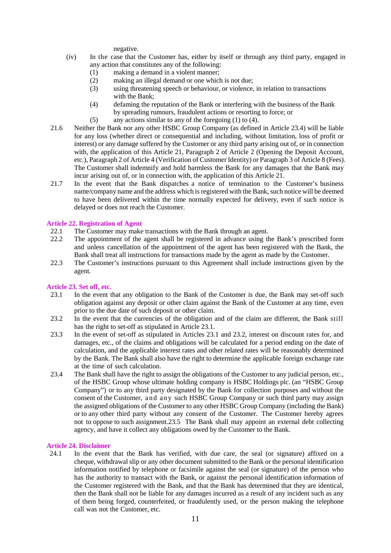negative.

- (iv) In the case that the Customer has, either by itself or through any third party, engaged in any action that constitutes any of the following:
	- (1) making a demand in a violent manner;
	- (2) making an illegal demand or one which is not due;
	- (3) using threatening speech or behaviour, or violence, in relation to transactions with the Bank;
	- (4) defaming the reputation of the Bank or interfering with the business of the Bank by spreading rumours, fraudulent actions or resorting to force; or
	- (5) any actions similar to any of the foregoing (1) to (4).
- 21.6 Neither the Bank nor any other HSBC Group Company (as defined in Article 23.4) will be liable for any loss (whether direct or consequential and including, without limitation, loss of profit or interest) or any damage suffered by the Customer or any third party arising out of, or in connection with, the application of this Article 21, Paragraph 2 of Article 2 (Opening the Deposit Account, etc.), Paragraph 2 of Article 4 (Verification of Customer Identity) or Paragraph 3 of Article 8 (Fees). The Customer shall indemnify and hold harmless the Bank for any damages that the Bank may incur arising out of, or in connection with, the application of this Article 21.
- 21.7 In the event that the Bank dispatches a notice of termination to the Customer's business name/company name and the address which is registered with the Bank, such notice will be deemed to have been delivered within the time normally expected for delivery, even if such notice is delayed or does not reach the Customer.

# **Article 22. Registration of Agent**

- 22.1 The Customer may make transactions with the Bank through an agent.
- 22.2 The appointment of the agent shall be registered in advance using the Bank's prescribed form and unless cancellation of the appointment of the agent has been registered with the Bank, the Bank shall treat all instructions for transactions made by the agent as made by the Customer.
- 22.3 The Customer's instructions pursuant to this Agreement shall include instructions given by the agent.

# **Article 23. Set off, etc.**

- 23.1 In the event that any obligation to the Bank of the Customer is due, the Bank may set-off such obligation against any deposit or other claim against the Bank of the Customer at any time, even prior to the due date of such deposit or other claim.
- 23.2 In the event that the currencies of the obligation and of the claim are different, the Bank still has the right to set-off as stipulated in Article 23.1.
- 23.3 In the event of set-off as stipulated in Articles 23.1 and 23.2, interest on discount rates for, and damages, etc., of the claims and obligations will be calculated for a period ending on the date of calculation, and the applicable interest rates and other related rates will be reasonably determined by the Bank. The Bank shall also have the right to determine the applicable foreign exchange rate at the time of such calculation.
- 23.4 The Bank shall have the right to assign the obligations of the Customer to any judicial person, etc., of the HSBC Group whose ultimate holding company is HSBC Holdings plc. (an "HSBC Group Company") or to any third party designated by the Bank for collection purposes and without the consent of the Customer, and any such HSBC Group Company or such third party may assign the assigned obligations of the Customer to any other HSBC Group Company (including the Bank) or to any other third party without any consent of the Customer. The Customer hereby agrees not to oppose to such assignment.23.5 The Bank shall may appoint an external debt collecting agency, and have it collect any obligations owed by the Customer to the Bank.

## **Article 24. Disclaimer**

24.1 In the event that the Bank has verified, with due care, the seal (or signature) affixed on a cheque, withdrawal slip or any other document submitted to the Bank or the personal identification information notified by telephone or facsimile against the seal (or signature) of the person who has the authority to transact with the Bank, or against the personal identification information of the Customer registered with the Bank, and that the Bank has determined that they are identical, then the Bank shall not be liable for any damages incurred as a result of any incident such as any of them being forged, counterfeited, or fraudulently used, or the person making the telephone call was not the Customer, etc.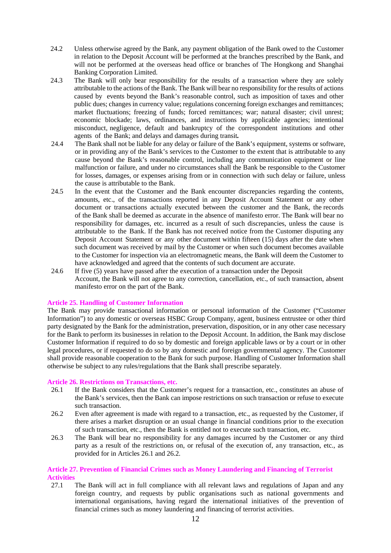- 24.2 Unless otherwise agreed by the Bank, any payment obligation of the Bank owed to the Customer in relation to the Deposit Account will be performed at the branches prescribed by the Bank, and will not be performed at the overseas head office or branches of The Hongkong and Shanghai Banking Corporation Limited.
- 24.3 The Bank will only bear responsibility for the results of a transaction where they are solely attributable to the actions of the Bank. The Bank will bear no responsibility for the results of actions caused by events beyond the Bank's reasonable control, such as imposition of taxes and other public dues; changes in currency value; regulations concerning foreign exchanges and remittances; market fluctuations; freezing of funds; forced remittances; war; natural disaster; civil unrest; economic blockade; laws, ordinances, and instructions by applicable agencies; intentional misconduct, negligence, default and bankruptcy of the correspondent institutions and other agents of the Bank; and delays and damages during transit*.*
- 24.4 The Bank shall not be liable for any delay or failure of the Bank's equipment, systems or software, or in providing any of the Bank's services to the Customer to the extent that is attributable to any cause beyond the Bank's reasonable control, including any communication equipment or line malfunction or failure, and under no circumstances shall the Bank be responsible to the Customer for losses, damages, or expenses arising from or in connection with such delay or failure, unless the cause is attributable to the Bank.
- 24.5 In the event that the Customer and the Bank encounter discrepancies regarding the contents, amounts, etc., of the transactions reported in any Deposit Account Statement or any other document or transactions actually executed between the customer and the Bank, the records of the Bank shall be deemed as accurate in the absence of manifesto error. The Bank will bear no responsibility for damages, etc. incurred as a result of such discrepancies, unless the cause is attributable to the Bank. If the Bank has not received notice from the Customer disputing any Deposit Account Statement or any other document within fifteen (15) days after the date when such document was received by mail by the Customer or when such document becomes available to the Customer for inspection via an electromagnetic means, the Bank will deem the Customer to have acknowledged and agreed that the contents of such document are accurate.
- 24.6 If five (5) years have passed after the execution of a transaction under the Deposit Account, the Bank will not agree to any correction, cancellation, etc., of such transaction, absent manifesto error on the part of the Bank.

## **Article 25. Handling of Customer Information**

The Bank may provide transactional information or personal information of the Customer ("Customer Information") to any domestic or overseas HSBC Group Company, agent, business entrustee or other third party designated by the Bank for the administration, preservation, disposition, or in any other case necessary for the Bank to perform its businesses in relation to the Deposit Account. In addition, the Bank may disclose Customer Information if required to do so by domestic and foreign applicable laws or by a court or in other legal procedures, or if requested to do so by any domestic and foreign governmental agency. The Customer shall provide reasonable cooperation to the Bank for such purpose. Handling of Customer Information shall otherwise be subject to any rules/regulations that the Bank shall prescribe separately.

## **Article 26. Restrictions on Transactions, etc.**

- 26.1 If the Bank considers that the Customer's request for a transaction, etc., constitutes an abuse of the Bank's services, then the Bank can impose restrictions on such transaction or refuse to execute such transaction.
- 26.2 Even after agreement is made with regard to a transaction, etc., as requested by the Customer, if there arises a market disruption or an usual change in financial conditions prior to the execution of such transaction, etc., then the Bank is entitled not to execute such transaction, etc.
- 26.3 The Bank will bear no responsibility for any damages incurred by the Customer or any third party as a result of the restrictions on, or refusal of the execution of, any transaction, etc., as provided for in Articles 26.1 and 26.2.

# **Article 27. Prevention of Financial Crimes such as Money Laundering and Financing of Terrorist Activities**

27.1 The Bank will act in full compliance with all relevant laws and regulations of Japan and any foreign country, and requests by public organisations such as national governments and international organisations, having regard the international initiatives of the prevention of financial crimes such as money laundering and financing of terrorist activities.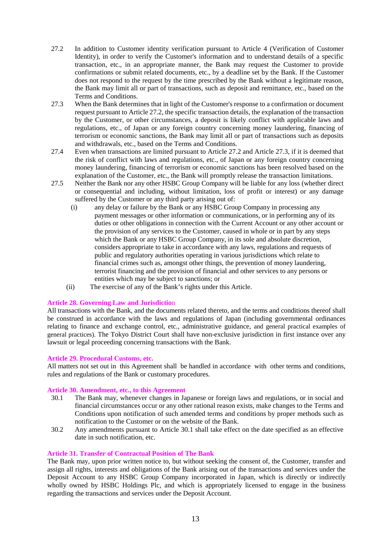- 27.2 In addition to Customer identity verification pursuant to Article 4 (Verification of Customer Identity), in order to verify the Customer's information and to understand details of a specific transaction, etc., in an appropriate manner, the Bank may request the Customer to provide confirmations or submit related documents, etc., by a deadline set by the Bank. If the Customer does not respond to the request by the time prescribed by the Bank without a legitimate reason, the Bank may limit all or part of transactions, such as deposit and remittance, etc., based on the Terms and Conditions.
- 27.3 When the Bank determines that in light of the Customer's response to a confirmation or document request pursuant to Article 27.2, the specific transaction details, the explanation of the transaction by the Customer, or other circumstances, a deposit is likely conflict with applicable laws and regulations, etc., of Japan or any foreign country concerning money laundering, financing of terrorism or economic sanctions, the Bank may limit all or part of transactions such as deposits and withdrawals, etc., based on the Terms and Conditions.
- 27.4 Even when transactions are limited pursuant to Article 27.2 and Article 27.3, if it is deemed that the risk of conflict with laws and regulations, etc., of Japan or any foreign country concerning money laundering, financing of terrorism or economic sanctions has been resolved based on the explanation of the Customer, etc., the Bank will promptly release the transaction limitations.
- 27.5 Neither the Bank nor any other HSBC Group Company will be liable for any loss (whether direct or consequential and including, without limitation, loss of profit or interest) or any damage suffered by the Customer or any third party arising out of:
	- (i) any delay or failure by the Bank or any HSBC Group Company in processing any payment messages or other information or communications, or in performing any of its duties or other obligations in connection with the Current Account or any other account or the provision of any services to the Customer, caused in whole or in part by any steps which the Bank or any HSBC Group Company, in its sole and absolute discretion, considers appropriate to take in accordance with any laws, regulations and requests of public and regulatory authorities operating in various jurisdictions which relate to financial crimes such as, amongst other things, the prevention of money laundering, terrorist financing and the provision of financial and other services to any persons or entities which may be subject to sanctions; or
	- (ii) The exercise of any of the Bank's rights under this Article.

# **Article 28. Governing Law and Jurisdictio**n

All transactions with the Bank, and the documents related thereto, and the terms and conditions thereof shall be construed in accordance with the laws and regulations of Japan (including governmental ordinances relating to finance and exchange control, etc., administrative guidance, and general practical examples of general practices). The Tokyo District Court shall have non-exclusive jurisdiction in first instance over any lawsuit or legal proceeding concerning transactions with the Bank.

## **Article 29. Procedural Customs, etc.**

All matters not set out in this Agreement shall be handled in accordance with other terms and conditions, rules and regulations of the Bank or customary procedures.

## **Article 30. Amendment, etc., to this Agreement**

- 30.1 The Bank may, whenever changes in Japanese or foreign laws and regulations, or in social and financial circumstances occur or any other rational reason exists, make changes to the Terms and Conditions upon notification of such amended terms and conditions by proper methods such as notification to the Customer or on the website of the Bank.
- 30.2 Any amendments pursuant to Article 30.1 shall take effect on the date specified as an effective date in such notification, etc.

# **Article 31. Transfer of Contractual Position of The Bank**

The Bank may, upon prior written notice to, but without seeking the consent of, the Customer, transfer and assign all rights, interests and obligations of the Bank arising out of the transactions and services under the Deposit Account to any HSBC Group Company incorporated in Japan, which is directly or indirectly wholly owned by HSBC Holdings Plc, and which is appropriately licensed to engage in the business regarding the transactions and services under the Deposit Account.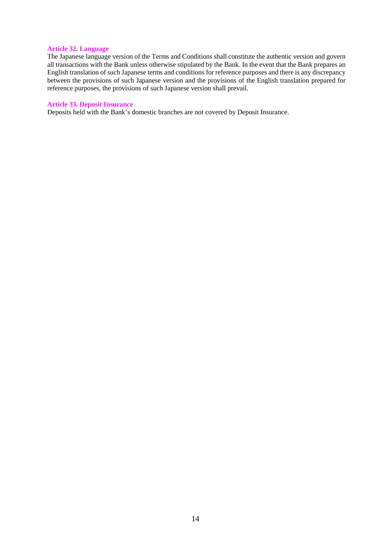# **Article 32. Language**

The Japanese language version of the Terms and Conditions shall constitute the authentic version and govern all transactions with the Bank unless otherwise stipulated by the Bank. In the event that the Bank prepares an English translation of such Japanese terms and conditions for reference purposes and there is any discrepancy between the provisions of such Japanese version and the provisions of the English translation prepared for reference purposes, the provisions of such Japanese version shall prevail.

#### **Article 33. Deposit Insurance**

Deposits held with the Bank's domestic branches are not covered by Deposit Insurance.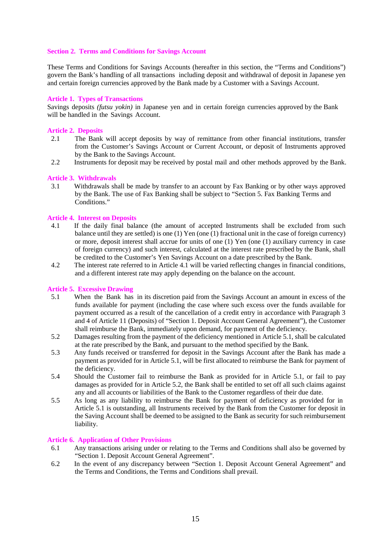# **Section 2. Terms and Conditions for Savings Account**

These Terms and Conditions for Savings Accounts (hereafter in this section, the "Terms and Conditions") govern the Bank's handling of all transactions including deposit and withdrawal of deposit in Japanese yen and certain foreign currencies approved by the Bank made by a Customer with a Savings Account.

## **Article 1. Types of Transactions**

Savings deposits *(futsu yokin)* in Japanese yen and in certain foreign currencies approved by the Bank will be handled in the Savings Account.

# **Article 2. Deposits**

- 2.1 The Bank will accept deposits by way of remittance from other financial institutions, transfer from the Customer's Savings Account or Current Account, or deposit of Instruments approved by the Bank to the Savings Account.
- 2.2 Instruments for deposit may be received by postal mail and other methods approved by the Bank.

## **Article 3. Withdrawals**

3.1 Withdrawals shall be made by transfer to an account by Fax Banking or by other ways approved by the Bank. The use of Fax Banking shall be subject to "Section 5. Fax Banking Terms and Conditions."

## **Article 4. Interest on Deposits**

- 4.1 If the daily final balance (the amount of accepted Instruments shall be excluded from such balance until they are settled) is one (1) Yen (one (1) fractional unit in the case of foreign currency) or more, deposit interest shall accrue for units of one (1) Yen (one (1) auxiliary currency in case of foreign currency) and such interest, calculated at the interest rate prescribed by the Bank, shall be credited to the Customer's Yen Savings Account on a date prescribed by the Bank.
- 4.2 The interest rate referred to in Article 4.1 will be varied reflecting changes in financial conditions, and a different interest rate may apply depending on the balance on the account.

## **Article 5. Excessive Drawing**

- 5.1 When the Bank has in its discretion paid from the Savings Account an amount in excess of the funds available for payment (including the case where such excess over the funds available for payment occurred as a result of the cancellation of a credit entry in accordance with Paragraph 3 and 4 of Article 11 (Deposits) of "Section 1. Deposit Account General Agreement"), the Customer shall reimburse the Bank, immediately upon demand, for payment of the deficiency.
- 5.2 Damages resulting from the payment of the deficiency mentioned in Article 5.1, shall be calculated at the rate prescribed by the Bank, and pursuant to the method specified by the Bank.
- 5.3 Any funds received or transferred for deposit in the Savings Account after the Bank has made a payment as provided for in Article 5.1, will be first allocated to reimburse the Bank for payment of the deficiency.
- 5.4 Should the Customer fail to reimburse the Bank as provided for in Article 5.1, or fail to pay damages as provided for in Article 5.2, the Bank shall be entitled to set off all such claims against any and all accounts or liabilities of the Bank to the Customer regardless of their due date.
- 5.5 As long as any liability to reimburse the Bank for payment of deficiency as provided for in Article 5.1 is outstanding, all Instruments received by the Bank from the Customer for deposit in the Saving Account shall be deemed to be assigned to the Bank as security for such reimbursement liability.

# **Article 6. Application of Other Provisions**

- 6.1 Any transactions arising under or relating to the Terms and Conditions shall also be governed by "Section 1. Deposit Account General Agreement".
- 6.2 In the event of any discrepancy between "Section 1. Deposit Account General Agreement" and the Terms and Conditions, the Terms and Conditions shall prevail.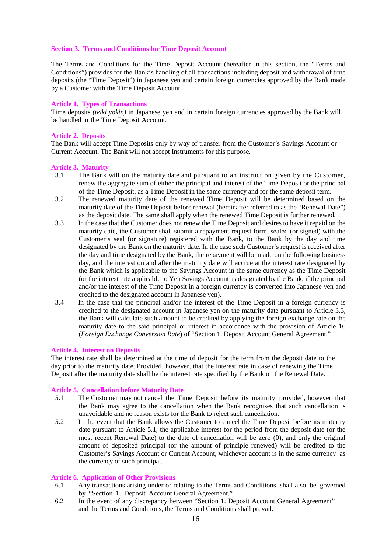# **Section 3. Terms and Conditions for Time Deposit Account**

The Terms and Conditions for the Time Deposit Account (hereafter in this section, the "Terms and Conditions") provides for the Bank's handling of all transactions including deposit and withdrawal of time deposits (the "Time Deposit") in Japanese yen and certain foreign currencies approved by the Bank made by a Customer with the Time Deposit Account.

# **Article 1. Types of Transactions**

Time deposits *(teiki yokin)* in Japanese yen and in certain foreign currencies approved by the Bank will be handled in the Time Deposit Account.

# **Article 2. Deposits**

The Bank will accept Time Deposits only by way of transfer from the Customer's Savings Account or Current Account. The Bank will not accept Instruments for this purpose.

# **Article 3. Maturity**

- 3.1 The Bank will on the maturity date and pursuant to an instruction given by the Customer, renew the aggregate sum of either the principal and interest of the Time Deposit or the principal of the Time Deposit, as a Time Deposit in the same currency and for the same deposit term.
- 3.2 The renewed maturity date of the renewed Time Deposit will be determined based on the maturity date of the Time Deposit before renewal (hereinafter referred to as the "Renewal Date") as the deposit date. The same shall apply when the renewed Time Deposit is further renewed.
- 3.3 In the case that the Customer does not renew the Time Deposit and desires to have it repaid on the maturity date, the Customer shall submit a repayment request form, sealed (or signed) with the Customer's seal (or signature) registered with the Bank, to the Bank by the day and time designated by the Bank on the maturity date. In the case such Customer's request is received after the day and time designated by the Bank, the repayment will be made on the following business day, and the interest on and after the maturity date will accrue at the interest rate designated by the Bank which is applicable to the Savings Account in the same currency as the Time Deposit (or the interest rate applicable to Yen Savings Account as designated by the Bank, if the principal and/or the interest of the Time Deposit in a foreign currency is converted into Japanese yen and credited to the designated account in Japanese yen).
- 3.4 In the case that the principal and/or the interest of the Time Deposit in a foreign currency is credited to the designated account in Japanese yen on the maturity date pursuant to Article 3.3, the Bank will calculate such amount to be credited by applying the foreign exchange rate on the maturity date to the said principal or interest in accordance with the provision of Article 16 (*Foreign Exchange Conversion Rate*) of "Section 1. Deposit Account General Agreement."

## **Article 4. Interest on Deposits**

The interest rate shall be determined at the time of deposit for the term from the deposit date to the day prior to the maturity date. Provided, however, that the interest rate in case of renewing the Time Deposit after the maturity date shall be the interest rate specified by the Bank on the Renewal Date.

## **Article 5. Cancellation before Maturity Date**

- 5.1 The Customer may not cancel the Time Deposit before its maturity; provided, however, that the Bank may agree to the cancellation when the Bank recognises that such cancellation is unavoidable and no reason exists for the Bank to reject such cancellation.
- 5.2 In the event that the Bank allows the Customer to cancel the Time Deposit before its maturity date pursuant to Article 5.1, the applicable interest for the period from the deposit date (or the most recent Renewal Date) to the date of cancellation will be zero (0), and only the original amount of deposited principal (or the amount of principle renewed) will be credited to the Customer's Savings Account or Current Account, whichever account is in the same currency as the currency of such principal.

## **Article 6. Application of Other Provisions**

- 6.1 Any transactions arising under or relating to the Terms and Conditions shall also be governed by "Section 1. Deposit Account General Agreement."
- 6.2 In the event of any discrepancy between "Section 1. Deposit Account General Agreement" and the Terms and Conditions, the Terms and Conditions shall prevail.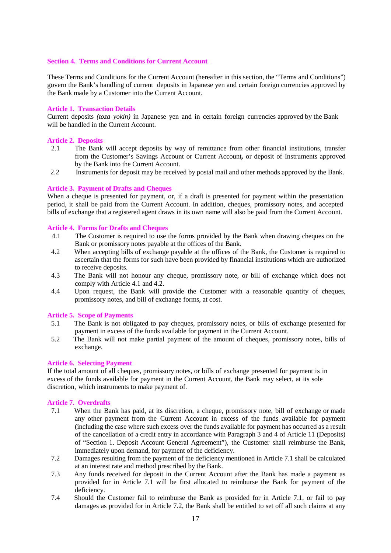#### **Section 4. Terms and Conditions for Current Account**

These Terms and Conditions for the Current Account (hereafter in this section, the "Terms and Conditions") govern the Bank's handling of current deposits in Japanese yen and certain foreign currencies approved by the Bank made by a Customer into the Current Account.

#### **Article 1. Transaction Details**

Current deposits *(toza yokin)* in Japanese yen and in certain foreign currencies approved by the Bank will be handled in the Current Account.

# **Article 2. Deposits**

- 2.1 The Bank will accept deposits by way of remittance from other financial institutions, transfer from the Customer's Savings Account or Current Account*,* or deposit of Instruments approved by the Bank into the Current Account.
- 2.2 Instruments for deposit may be received by postal mail and other methods approved by the Bank.

#### **Article 3. Payment of Drafts and Cheques**

When a cheque is presented for payment, or, if a draft is presented for payment within the presentation period, it shall be paid from the Current Account. In addition, cheques, promissory notes, and accepted bills of exchange that a registered agent draws in its own name will also be paid from the Current Account.

#### **Article 4. Forms for Drafts and Cheques**

- 4.1 The Customer is required to use the forms provided by the Bank when drawing cheques on the Bank or promissory notes payable at the offices of the Bank.
- 4.2 When accepting bills of exchange payable at the offices of the Bank, the Customer is required to ascertain that the forms for such have been provided by financial institutions which are authorized to receive deposits.
- 4.3 The Bank will not honour any cheque, promissory note, or bill of exchange which does not comply with Article 4.1 and 4.2.
- 4.4 Upon request, the Bank will provide the Customer with a reasonable quantity of cheques, promissory notes, and bill of exchange forms, at cost.

#### **Article 5. Scope of Payments**

- 5.1 The Bank is not obligated to pay cheques, promissory notes, or bills of exchange presented for payment in excess of the funds available for payment in the Current Account.
- 5.2 The Bank will not make partial payment of the amount of cheques, promissory notes, bills of exchange.

#### **Article 6. Selecting Payment**

If the total amount of all cheques, promissory notes, or bills of exchange presented for payment is in excess of the funds available for payment in the Current Account, the Bank may select, at its sole discretion, which instruments to make payment of.

#### **Article 7. Overdrafts**

- 7.1 When the Bank has paid, at its discretion, a cheque, promissory note, bill of exchange or made any other payment from the Current Account in excess of the funds available for payment (including the case where such excess over the funds available for payment has occurred as a result of the cancellation of a credit entry in accordance with Paragraph 3 and 4 of Article 11 (Deposits) of "Section 1. Deposit Account General Agreement"), the Customer shall reimburse the Bank, immediately upon demand, for payment of the deficiency.
- 7.2 Damages resulting from the payment of the deficiency mentioned in Article 7.1 shall be calculated at an interest rate and method prescribed by the Bank.
- 7.3 Any funds received for deposit in the Current Account after the Bank has made a payment as provided for in Article 7.1 will be first allocated to reimburse the Bank for payment of the deficiency.
- 7.4 Should the Customer fail to reimburse the Bank as provided for in Article 7.1, or fail to pay damages as provided for in Article 7.2, the Bank shall be entitled to set off all such claims at any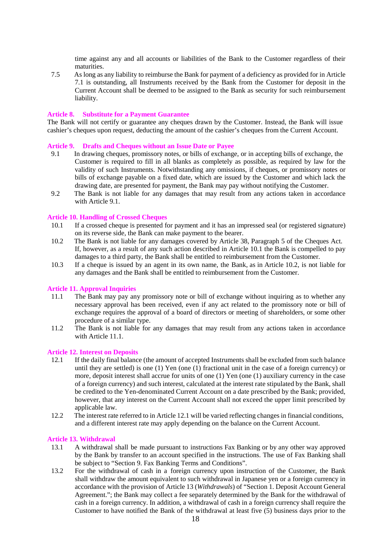time against any and all accounts or liabilities of the Bank to the Customer regardless of their maturities.

7.5 As long as any liability to reimburse the Bank for payment of a deficiency as provided for in Article 7.1 is outstanding, all Instruments received by the Bank from the Customer for deposit in the Current Account shall be deemed to be assigned to the Bank as security for such reimbursement liability.

#### **Article 8. Substitute for a Payment Guarantee**

The Bank will not certify or guarantee any cheques drawn by the Customer. Instead, the Bank will issue cashier's cheques upon request, deducting the amount of the cashier's cheques from the Current Account.

#### **Article 9. Drafts and Cheques without an Issue Date or Payee**

- 9.1 In drawing cheques, promissory notes, or bills of exchange, or in accepting bills of exchange, the Customer is required to fill in all blanks as completely as possible, as required by law for the validity of such Instruments. Notwithstanding any omissions, if cheques, or promissory notes or bills of exchange payable on a fixed date, which are issued by the Customer and which lack the drawing date, are presented for payment, the Bank may pay without notifying the Customer.
- 9.2 The Bank is not liable for any damages that may result from any actions taken in accordance with Article 9.1.

#### **Article 10. Handling of Crossed Cheques**

- 10.1 If a crossed cheque is presented for payment and it has an impressed seal (or registered signature) on its reverse side, the Bank can make payment to the bearer.
- 10.2 The Bank is not liable for any damages covered by Article 38, Paragraph 5 of the Cheques Act. If, however, as a result of any such action described in Article 10.1 the Bank is compelled to pay damages to a third party, the Bank shall be entitled to reimbursement from the Customer.
- 10.3 If a cheque is issued by an agent in its own name, the Bank, as in Article 10.2, is not liable for any damages and the Bank shall be entitled to reimbursement from the Customer.

#### **Article 11. Approval Inquiries**

- 11.1 The Bank may pay any promissory note or bill of exchange without inquiring as to whether any necessary approval has been received, even if any act related to the promissory note or bill of exchange requires the approval of a board of directors or meeting of shareholders, or some other procedure of a similar type.
- 11.2 The Bank is not liable for any damages that may result from any actions taken in accordance with Article 11.1.

#### **Article 12. Interest on Deposits**

- 12.1 If the daily final balance (the amount of accepted Instruments shall be excluded from such balance until they are settled) is one (1) Yen (one (1) fractional unit in the case of a foreign currency) or more, deposit interest shall accrue for units of one (1) Yen (one (1) auxiliary currency in the case of a foreign currency) and such interest, calculated at the interest rate stipulated by the Bank, shall be credited to the Yen-denominated Current Account on a date prescribed by the Bank; provided, however, that any interest on the Current Account shall not exceed the upper limit prescribed by applicable law.
- 12.2 The interest rate referred to in Article 12.1 will be varied reflecting changes in financial conditions, and a different interest rate may apply depending on the balance on the Current Account.

#### **Article 13. Withdrawal**

- 13.1 A withdrawal shall be made pursuant to instructions Fax Banking or by any other way approved by the Bank by transfer to an account specified in the instructions. The use of Fax Banking shall be subject to "Section 9. Fax Banking Terms and Conditions".
- 13.2 For the withdrawal of cash in a foreign currency upon instruction of the Customer, the Bank shall withdraw the amount equivalent to such withdrawal in Japanese yen or a foreign currency in accordance with the provision of Article 13 (*Withdrawals*) of "Section 1. Deposit Account General Agreement."; the Bank may collect a fee separately determined by the Bank for the withdrawal of cash in a foreign currency. In addition, a withdrawal of cash in a foreign currency shall require the Customer to have notified the Bank of the withdrawal at least five (5) business days prior to the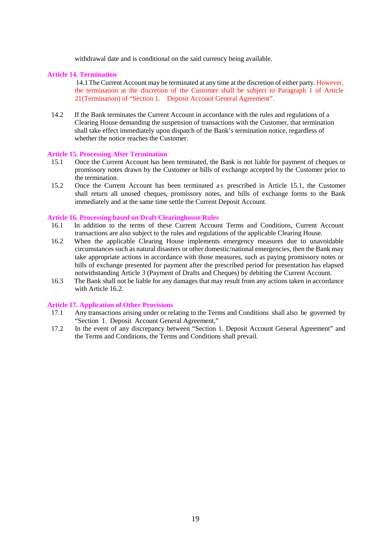withdrawal date and is conditional on the said currency being available.

# **Article 14. Termination**

14.1 The Current Account may be terminated at any time at the discretion of either party. However, the termination at the discretion of the Customer shall be subject to Paragraph 1 of Article 21(Termination) of "Section 1. Deposit Account General Agreement".

14.2 If the Bank terminates the Current Account in accordance with the rules and regulations of a Clearing House demanding the suspension of transactions with the Customer, that termination shall take effect immediately upon dispatch of the Bank's termination notice, regardless of whether the notice reaches the Customer.

## **Article 15. Processing After Termination**

- 15.1 Once the Current Account has been terminated, the Bank is not liable for payment of cheques or promissory notes drawn by the Customer or bills of exchange accepted by the Customer prior to the termination.
- 15.2 Once the Current Account has been terminated as prescribed in Article 15.1, the Customer shall return all unused cheques, promissory notes, and bills of exchange forms to the Bank immediately and at the same time settle the Current Deposit Account.

## **Article 16. Processing based on Draft Clearinghouse Rules**

- 16.1 In addition to the terms of these Current Account Terms and Conditions, Current Account transactions are also subject to the rules and regulations of the applicable Clearing House.
- 16.2 When the applicable Clearing House implements emergency measures due to unavoidable circumstances such as natural disasters or other domestic/national emergencies, then the Bank may take appropriate actions in accordance with those measures, such as paying promissory notes or bills of exchange presented for payment after the prescribed period for presentation has elapsed notwithstanding Article 3 (Payment of Drafts and Cheques) by debiting the Current Account.
- 16.3 The Bank shall not be liable for any damages that may result from any actions taken in accordance with Article 16.2.

# **Article 17. Application of Other Provisions**

- 17.1 Any transactions arising under or relating to the Terms and Conditions shall also be governed by "Section 1. Deposit Account General Agreement,"
- 17.2 In the event of any discrepancy between "Section 1. Deposit Account General Agreement" and the Terms and Conditions, the Terms and Conditions shall prevail.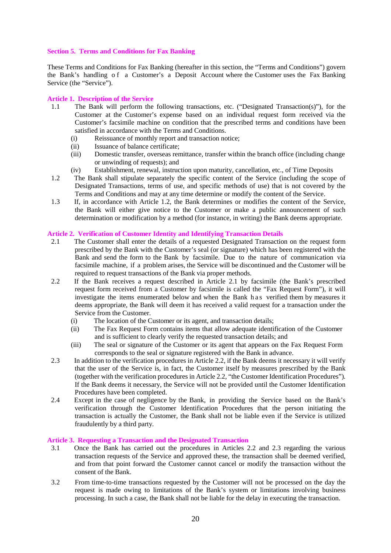# **Section 5. Terms and Conditions for Fax Banking**

These Terms and Conditions for Fax Banking (hereafter in this section, the "Terms and Conditions") govern the Bank's handling of a Customer's a Deposit Account where the Customer uses the Fax Banking Service (the "Service").

# **Article 1. Description of the Service**

- 1.1 The Bank will perform the following transactions, etc. ("Designated Transaction(s)"), for the Customer at the Customer's expense based on an individual request form received via the Customer's facsimile machine on condition that the prescribed terms and conditions have been satisfied in accordance with the Terms and Conditions.
	- (i) Reissuance of monthly report and transaction notice;
	- (ii) Issuance of balance certificate;
	- (iii) Domestic transfer, overseas remittance, transfer within the branch office (including change or unwinding of requests); and
	- (iv) Establishment, renewal, instruction upon maturity, cancellation, etc., of Time Deposits
- 1.2 The Bank shall stipulate separately the specific content of the Service (including the scope of Designated Transactions, terms of use, and specific methods of use) that is not covered by the Terms and Conditions and may at any time determine or modify the content of the Service.
- 1.3 If, in accordance with Article 1.2, the Bank determines or modifies the content of the Service, the Bank will either give notice to the Customer or make a public announcement of such determination or modification by a method (for instance, in writing) the Bank deems appropriate.

# **Article 2. Verification of Customer Identity and Identifying Transaction Details**

- 2.1 The Customer shall enter the details of a requested Designated Transaction on the request form prescribed by the Bank with the Customer's seal (or signature) which has been registered with the Bank and send the form to the Bank by facsimile. Due to the nature of communication via facsimile machine, if a problem arises, the Service will be discontinued and the Customer will be required to request transactions of the Bank via proper methods.
- 2.2 If the Bank receives a request described in Article 2.1 by facsimile (the Bank's prescribed request form received from a Customer by facsimile is called the "Fax Request Form"), it will investigate the items enumerated below and when the Bank h as verified them by measures it deems appropriate, the Bank will deem it has received a valid request for a transaction under the Service from the Customer.
	- (i) The location of the Customer or its agent, and transaction details;
	- (ii) The Fax Request Form contains items that allow adequate identification of the Customer and is sufficient to clearly verify the requested transaction details; and
	- (iii) The seal or signature of the Customer or its agent that appears on the Fax Request Form corresponds to the seal or signature registered with the Bank in advance.
- 2.3 In addition to the verification procedures in Article 2.2, if the Bank deems it necessary it will verify that the user of the Service is, in fact, the Customer itself by measures prescribed by the Bank (together with the verification procedures in Article 2.2, "the Customer Identification Procedures"). If the Bank deems it necessary, the Service will not be provided until the Customer Identification Procedures have been completed.
- 2.4 Except in the case of negligence by the Bank, in providing the Service based on the Bank's verification through the Customer Identification Procedures that the person initiating the transaction is actually the Customer, the Bank shall not be liable even if the Service is utilized fraudulently by a third party.

## **Article 3. Requesting a Transaction and the Designated Transaction**

- 3.1 Once the Bank has carried out the procedures in Articles 2.2 and 2.3 regarding the various transaction requests of the Service and approved these, the transaction shall be deemed verified, and from that point forward the Customer cannot cancel or modify the transaction without the consent of the Bank.
- 3.2 From time-to-time transactions requested by the Customer will not be processed on the day the request is made owing to limitations of the Bank's system or limitations involving business processing. In such a case, the Bank shall not be liable for the delay in executing the transaction.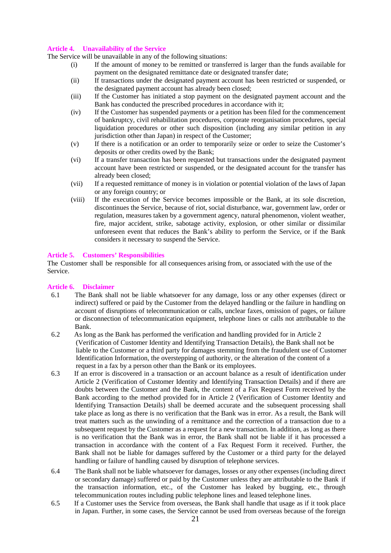# **Article 4. Unavailability of the Service**

The Service will be unavailable in any of the following situations:

- (i) If the amount of money to be remitted or transferred is larger than the funds available for payment on the designated remittance date or designated transfer date;
- (ii) If transactions under the designated payment account has been restricted or suspended, or the designated payment account has already been closed;
- (iii) If the Customer has initiated a stop payment on the designated payment account and the Bank has conducted the prescribed procedures in accordance with it;
- (iv) If the Customer has suspended payments or a petition has been filed for the commencement of bankruptcy, civil rehabilitation procedures, corporate reorganisation procedures, special liquidation procedures or other such disposition (including any similar petition in any jurisdiction other than Japan) in respect of the Customer;
- (v) If there is a notification or an order to temporarily seize or order to seize the Customer's deposits or other credits owed by the Bank;
- (vi) If a transfer transaction has been requested but transactions under the designated payment account have been restricted or suspended, or the designated account for the transfer has already been closed;
- (vii) If a requested remittance of money is in violation or potential violation of the laws of Japan or any foreign country; or
- (viii) If the execution of the Service becomes impossible or the Bank, at its sole discretion, discontinues the Service, because of riot, social disturbance, war, government law, order or regulation, measures taken by a government agency, natural phenomenon, violent weather, fire, major accident, strike, sabotage activity, explosion, or other similar or dissimilar unforeseen event that reduces the Bank's ability to perform the Service, or if the Bank considers it necessary to suspend the Service.

# **Article 5. Customers' Responsibilities**

The Customer shall be responsible for all consequences arising from, or associated with the use of the Service.

## **Article 6. Disclaimer**

- 6.1 The Bank shall not be liable whatsoever for any damage, loss or any other expenses (direct or indirect) suffered or paid by the Customer from the delayed handling or the failure in handling on account of disruptions of telecommunication or calls, unclear faxes, omission of pages, or failure or disconnection of telecommunication equipment, telephone lines or calls not attributable to the Bank.
- 6.2 As long as the Bank has performed the verification and handling provided for in Article 2 (Verification of Customer Identity and Identifying Transaction Details), the Bank shall not be liable to the Customer or a third party for damages stemming from the fraudulent use of Customer Identification Information, the overstepping of authority, or the alteration of the content of a request in a fax by a person other than the Bank or its employees.
- 6.3 If an error is discovered in a transaction or an account balance as a result of identification under Article 2 (Verification of Customer Identity and Identifying Transaction Details) and if there are doubts between the Customer and the Bank, the content of a Fax Request Form received by the Bank according to the method provided for in Article 2 (Verification of Customer Identity and Identifying Transaction Details) shall be deemed accurate and the subsequent processing shall take place as long as there is no verification that the Bank was in error. As a result, the Bank will treat matters such as the unwinding of a remittance and the correction of a transaction due to a subsequent request by the Customer as a request for a new transaction. In addition, as long as there is no verification that the Bank was in error, the Bank shall not be liable if it has processed a transaction in accordance with the content of a Fax Request Form it received. Further, the Bank shall not be liable for damages suffered by the Customer or a third party for the delayed handling or failure of handling caused by disruption of telephone services.
- 6.4 The Bank shall not be liable whatsoever for damages, losses or any other expenses (including direct or secondary damage) suffered or paid by the Customer unless they are attributable to the Bank if the transaction information, etc., of the Customer has leaked by bugging, etc., through telecommunication routes including public telephone lines and leased telephone lines.
- 6.5 If a Customer uses the Service from overseas, the Bank shall handle that usage as if it took place in Japan. Further, in some cases, the Service cannot be used from overseas because of the foreign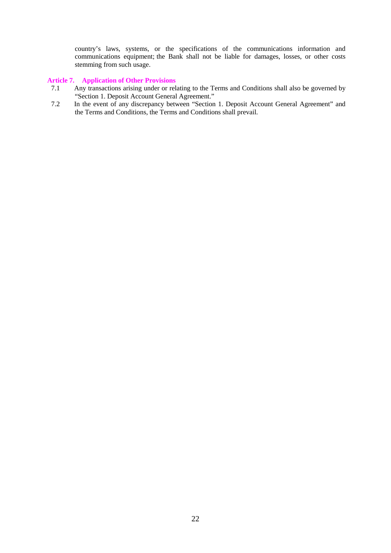country's laws, systems, or the specifications of the communications information and communications equipment; the Bank shall not be liable for damages, losses, or other costs stemming from such usage.

# **Article 7. Application of Other Provisions**

- 7.1 Any transactions arising under or relating to the Terms and Conditions shall also be governed by "Section 1. Deposit Account General Agreement."
- 7.2 In the event of any discrepancy between "Section 1. Deposit Account General Agreement" and the Terms and Conditions, the Terms and Conditions shall prevail.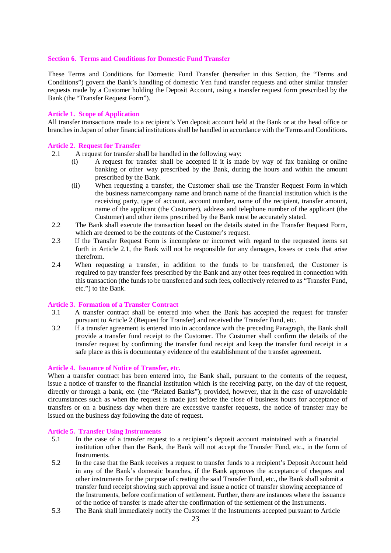#### **Section 6. Terms and Conditions for Domestic Fund Transfer**

These Terms and Conditions for Domestic Fund Transfer (hereafter in this Section, the "Terms and Conditions") govern the Bank's handling of domestic Yen fund transfer requests and other similar transfer requests made by a Customer holding the Deposit Account, using a transfer request form prescribed by the Bank (the "Transfer Request Form").

## **Article 1. Scope of Application**

All transfer transactions made to a recipient's Yen deposit account held at the Bank or at the head office or branches in Japan of other financial institutions shall be handled in accordance with the Terms and Conditions.

## **Article 2. Request for Transfer**

- 2.1 A request for transfer shall be handled in the following way:
	- (i) A request for transfer shall be accepted if it is made by way of fax banking or online banking or other way prescribed by the Bank, during the hours and within the amount prescribed by the Bank.
	- (ii) When requesting a transfer, the Customer shall use the Transfer Request Form in which the business name/company name and branch name of the financial institution which is the receiving party, type of account, account number, name of the recipient, transfer amount, name of the applicant (the Customer), address and telephone number of the applicant (the Customer) and other items prescribed by the Bank must be accurately stated.
- 2.2 The Bank shall execute the transaction based on the details stated in the Transfer Request Form, which are deemed to be the contents of the Customer's request.
- 2.3 If the Transfer Request Form is incomplete or incorrect with regard to the requested items set forth in Article 2.1, the Bank will not be responsible for any damages, losses or costs that arise therefrom.
- 2.4 When requesting a transfer, in addition to the funds to be transferred, the Customer is required to pay transfer fees prescribed by the Bank and any other fees required in connection with this transaction (the funds to be transferred and such fees, collectively referred to as "Transfer Fund, etc.") to the Bank.

#### **Article 3. Formation of a Transfer Contract**

- 3.1 A transfer contract shall be entered into when the Bank has accepted the request for transfer pursuant to Article 2 (Request for Transfer) and received the Transfer Fund, etc.
- 3.2 If a transfer agreement is entered into in accordance with the preceding Paragraph, the Bank shall provide a transfer fund receipt to the Customer. The Customer shall confirm the details of the transfer request by confirming the transfer fund receipt and keep the transfer fund receipt in a safe place as this is documentary evidence of the establishment of the transfer agreement.

#### **Article 4. Issuance of Notice of Transfer, etc.**

When a transfer contract has been entered into, the Bank shall, pursuant to the contents of the request, issue a notice of transfer to the financial institution which is the receiving party, on the day of the request, directly or through a bank, etc. (the "Related Banks"); provided, however, that in the case of unavoidable circumstances such as when the request is made just before the close of business hours for acceptance of transfers or on a business day when there are excessive transfer requests, the notice of transfer may be issued on the business day following the date of request.

#### **Article 5. Transfer Using Instruments**

- 5.1 In the case of a transfer request to a recipient's deposit account maintained with a financial institution other than the Bank, the Bank will not accept the Transfer Fund, etc., in the form of Instruments.
- 5.2 In the case that the Bank receives a request to transfer funds to a recipient's Deposit Account held in any of the Bank's domestic branches, if the Bank approves the acceptance of cheques and other instruments for the purpose of creating the said Transfer Fund, etc., the Bank shall submit a transfer fund receipt showing such approval and issue a notice of transfer showing acceptance of the Instruments, before confirmation of settlement. Further, there are instances where the issuance of the notice of transfer is made after the confirmation of the settlement of the Instruments.
- 5.3 The Bank shall immediately notify the Customer if the Instruments accepted pursuant to Article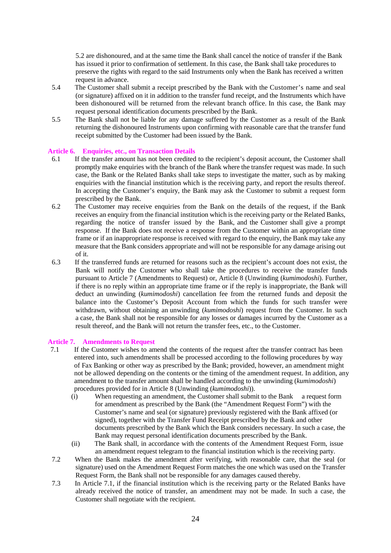5.2 are dishonoured, and at the same time the Bank shall cancel the notice of transfer if the Bank has issued it prior to confirmation of settlement. In this case, the Bank shall take procedures to preserve the rights with regard to the said Instruments only when the Bank has received a written request in advance.

- 5.4 The Customer shall submit a receipt prescribed by the Bank with the Customer's name and seal (or signature) affixed on it in addition to the transfer fund receipt, and the Instruments which have been dishonoured will be returned from the relevant branch office. In this case, the Bank may request personal identification documents prescribed by the Bank.
- 5.5 The Bank shall not be liable for any damage suffered by the Customer as a result of the Bank returning the dishonoured Instruments upon confirming with reasonable care that the transfer fund receipt submitted by the Customer had been issued by the Bank.

## **Article 6. Enquiries, etc., on Transaction Details**

- 6.1 If the transfer amount has not been credited to the recipient's deposit account, the Customer shall promptly make enquiries with the branch of the Bank where the transfer request was made. In such case, the Bank or the Related Banks shall take steps to investigate the matter, such as by making enquiries with the financial institution which is the receiving party, and report the results thereof. In accepting the Customer's enquiry, the Bank may ask the Customer to submit a request form prescribed by the Bank.
- 6.2 The Customer may receive enquiries from the Bank on the details of the request, if the Bank receives an enquiry from the financial institution which is the receiving party or the Related Banks, regarding the notice of transfer issued by the Bank, and the Customer shall give a prompt response. If the Bank does not receive a response from the Customer within an appropriate time frame or if an inappropriate response is received with regard to the enquiry, the Bank may take any measure that the Bank considers appropriate and will not be responsible for any damage arising out of it.
- 6.3 If the transferred funds are returned for reasons such as the recipient's account does not exist, the Bank will notify the Customer who shall take the procedures to receive the transfer funds pursuant to Article 7 (Amendments to Request) or, Article 8 (Unwinding (*kumimodoshi*). Further, if there is no reply within an appropriate time frame or if the reply is inappropriate, the Bank will deduct an unwinding (*kumimodoshi*) cancellation fee from the returned funds and deposit the balance into the Customer's Deposit Account from which the funds for such transfer were withdrawn, without obtaining an unwinding (*kumimodoshi*) request from the Customer. In such a case, the Bank shall not be responsible for any losses or damages incurred by the Customer as a result thereof, and the Bank will not return the transfer fees, etc., to the Customer.

## **Article 7. Amendments to Request**

- 7.1 If the Customer wishes to amend the contents of the request after the transfer contract has been entered into, such amendments shall be processed according to the following procedures by way of Fax Banking or other way as prescribed by the Bank; provided, however, an amendment might not be allowed depending on the contents or the timing of the amendment request. In addition, any amendment to the transfer amount shall be handled according to the unwinding (*kumimodoshi*) procedures provided for in Article 8 (Unwinding (*kumimodoshi*)).
	- (i) When requesting an amendment, the Customer shall submit to the Bank a request form for amendment as prescribed by the Bank (the "Amendment Request Form") with the Customer's name and seal (or signature) previously registered with the Bank affixed (or signed), together with the Transfer Fund Receipt prescribed by the Bank and other documents prescribed by the Bank which the Bank considers necessary. In such a case, the Bank may request personal identification documents prescribed by the Bank.
	- (ii) The Bank shall, in accordance with the contents of the Amendment Request Form, issue an amendment request telegram to the financial institution which is the receiving party.
- 7.2 When the Bank makes the amendment after verifying, with reasonable care, that the seal (or signature) used on the Amendment Request Form matches the one which was used on the Transfer Request Form, the Bank shall not be responsible for any damages caused thereby.
- 7.3 In Article 7.1, if the financial institution which is the receiving party or the Related Banks have already received the notice of transfer, an amendment may not be made. In such a case, the Customer shall negotiate with the recipient.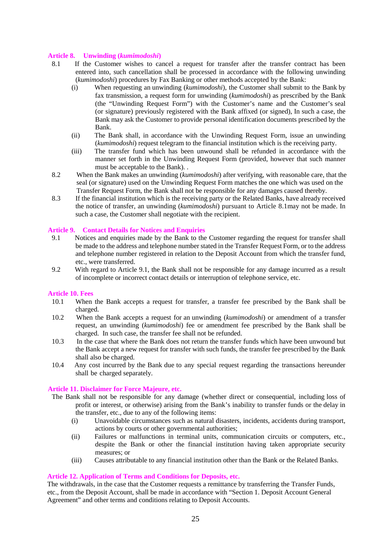# **Article 8. Unwinding (***kumimodoshi***)**

- 8.1 If the Customer wishes to cancel a request for transfer after the transfer contract has been entered into, such cancellation shall be processed in accordance with the following unwinding (*kumimodoshi*) procedures by Fax Banking or other methods accepted by the Bank:
	- (i) When requesting an unwinding (*kumimodoshi*), the Customer shall submit to the Bank by fax transmission, a request form for unwinding (*kumimodoshi*) as prescribed by the Bank (the "Unwinding Request Form") with the Customer's name and the Customer's seal (or signature) previously registered with the Bank affixed (or signed), In such a case, the Bank may ask the Customer to provide personal identification documents prescribed by the Bank.
	- (ii) The Bank shall, in accordance with the Unwinding Request Form, issue an unwinding (*kumimodoshi*) request telegram to the financial institution which is the receiving party.
	- (iii) The transfer fund which has been unwound shall be refunded in accordance with the manner set forth in the Unwinding Request Form (provided, however that such manner must be acceptable to the Bank). .
- 8.2 When the Bank makes an unwinding (*kumimodoshi*) after verifying, with reasonable care, that the seal (or signature) used on the Unwinding Request Form matches the one which was used on the Transfer Request Form, the Bank shall not be responsible for any damages caused thereby.
- 8.3 If the financial institution which is the receiving party or the Related Banks, have already received the notice of transfer, an unwinding (*kumimodoshi*) pursuant to Article 8.1may not be made. In such a case, the Customer shall negotiate with the recipient.

## **Article 9. Contact Details for Notices and Enquiries**

- 9.1 Notices and enquiries made by the Bank to the Customer regarding the request for transfer shall be made to the address and telephone number stated in the Transfer Request Form, or to the address and telephone number registered in relation to the Deposit Account from which the transfer fund, etc., were transferred.
- 9.2 With regard to Article 9.1, the Bank shall not be responsible for any damage incurred as a result of incomplete or incorrect contact details or interruption of telephone service, etc.

## **Article 10. Fees**

- 10.1 When the Bank accepts a request for transfer, a transfer fee prescribed by the Bank shall be charged.
- 10.2 When the Bank accepts a request for an unwinding (*kumimodoshi*) or amendment of a transfer request, an unwinding (*kumimodoshi*) fee or amendment fee prescribed by the Bank shall be charged. In such case, the transfer fee shall not be refunded.
- 10.3 In the case that where the Bank does not return the transfer funds which have been unwound but the Bank accept a new request for transfer with such funds, the transfer fee prescribed by the Bank shall also be charged.
- 10.4 Any cost incurred by the Bank due to any special request regarding the transactions hereunder shall be charged separately.

#### **Article 11. Disclaimer for Force Majeure, etc.**

- The Bank shall not be responsible for any damage (whether direct or consequential, including loss of profit or interest, or otherwise) arising from the Bank's inability to transfer funds or the delay in the transfer, etc., due to any of the following items:
	- (i) Unavoidable circumstances such as natural disasters, incidents, accidents during transport, actions by courts or other governmental authorities;
	- (ii) Failures or malfunctions in terminal units, communication circuits or computers, etc., despite the Bank or other the financial institution having taken appropriate security measures; or
	- (iii) Causes attributable to any financial institution other than the Bank or the Related Banks.

# **Article 12. Application of Terms and Conditions for Deposits, etc.**

The withdrawals, in the case that the Customer requests a remittance by transferring the Transfer Funds, etc., from the Deposit Account, shall be made in accordance with "Section 1. Deposit Account General Agreement" and other terms and conditions relating to Deposit Accounts.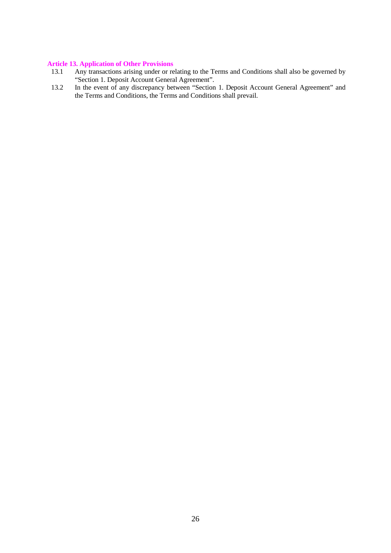# **Article 13. Application of Other Provisions**<br>13.1 Any transactions arising under or re

- Any transactions arising under or relating to the Terms and Conditions shall also be governed by "Section 1. Deposit Account General Agreement".
- 13.2 In the event of any discrepancy between "Section 1. Deposit Account General Agreement" and the Terms and Conditions, the Terms and Conditions shall prevail.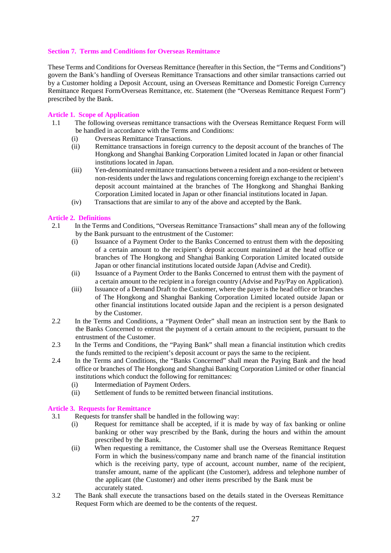# **Section 7. Terms and Conditions for Overseas Remittance**

These Terms and Conditions for Overseas Remittance (hereafter in this Section, the "Terms and Conditions") govern the Bank's handling of Overseas Remittance Transactions and other similar transactions carried out by a Customer holding a Deposit Account, using an Overseas Remittance and Domestic Foreign Currency Remittance Request Form*/*Overseas Remittance, etc. Statement (the "Overseas Remittance Request Form") prescribed by the Bank.

# **Article 1. Scope of Application**

- 1.1 The following overseas remittance transactions with the Overseas Remittance Request Form will be handled in accordance with the Terms and Conditions:
	- (i) Overseas Remittance Transactions.
	- (ii) Remittance transactions in foreign currency to the deposit account of the branches of The Hongkong and Shanghai Banking Corporation Limited located in Japan or other financial institutions located in Japan.
	- (iii) Yen-denominated remittance transactions between a resident and a non-resident or between non-residents under the laws and regulations concerning foreign exchange to the recipient's deposit account maintained at the branches of The Hongkong and Shanghai Banking Corporation Limited located in Japan or other financial institutions located in Japan.
	- (iv) Transactions that are similar to any of the above and accepted by the Bank.

# **Article 2. Definitions**

- 2.1 In the Terms and Conditions, "Overseas Remittance Transactions" shall mean any of the following by the Bank pursuant to the entrustment of the Customer:
	- (i) Issuance of a Payment Order to the Banks Concerned to entrust them with the depositing of a certain amount to the recipient's deposit account maintained at the head office or branches of The Hongkong and Shanghai Banking Corporation Limited located outside Japan or other financial institutions located outside Japan (Advise and Credit).
	- (ii) Issuance of a Payment Order to the Banks Concerned to entrust them with the payment of a certain amount to the recipient in a foreign country (Advise and Pay/Pay on Application).
	- (iii) Issuance of a Demand Draft to the Customer, where the payer is the head office or branches of The Hongkong and Shanghai Banking Corporation Limited located outside Japan or other financial institutions located outside Japan and the recipient is a person designated by the Customer.
- 2.2 In the Terms and Conditions, a "Payment Order" shall mean an instruction sent by the Bank to the Banks Concerned to entrust the payment of a certain amount to the recipient, pursuant to the entrustment of the Customer.
- 2.3 In the Terms and Conditions, the "Paying Bank" shall mean a financial institution which credits the funds remitted to the recipient's deposit account or pays the same to the recipient.
- 2.4 In the Terms and Conditions, the "Banks Concerned" shall mean the Paying Bank and the head office or branches of The Hongkong and Shanghai Banking Corporation Limited or other financial institutions which conduct the following for remittances:
	- (i) Intermediation of Payment Orders.
	- (ii) Settlement of funds to be remitted between financial institutions.

## **Article 3. Requests for Remittance**

- 3.1 Requests for transfer shall be handled in the following way:
	- (i) Request for remittance shall be accepted, if it is made by way of fax banking or online banking or other way prescribed by the Bank, during the hours and within the amount prescribed by the Bank.
	- (ii) When requesting a remittance, the Customer shall use the Overseas Remittance Request Form in which the business/company name and branch name of the financial institution which is the receiving party, type of account, account number, name of the recipient, transfer amount, name of the applicant (the Customer), address and telephone number of the applicant (the Customer) and other items prescribed by the Bank must be accurately stated.
- 3.2 The Bank shall execute the transactions based on the details stated in the Overseas Remittance Request Form which are deemed to be the contents of the request.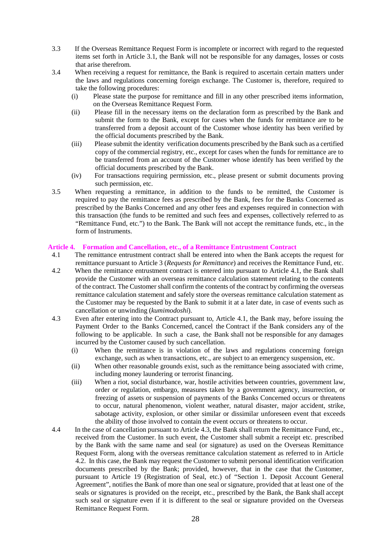- 3.3 If the Overseas Remittance Request Form is incomplete or incorrect with regard to the requested items set forth in Article 3.1, the Bank will not be responsible for any damages, losses or costs that arise therefrom.
- 3.4 When receiving a request for remittance, the Bank is required to ascertain certain matters under the laws and regulations concerning foreign exchange. The Customer is, therefore, required to take the following procedures:
	- (i) Please state the purpose for remittance and fill in any other prescribed items information, on the Overseas Remittance Request Form.
	- (ii) Please fill in the necessary items on the declaration form as prescribed by the Bank and submit the form to the Bank, except for cases when the funds for remittance are to be transferred from a deposit account of the Customer whose identity has been verified by the official documents prescribed by the Bank.
	- (iii) Please submit the identity verification documents prescribed by the Bank such as a certified copy of the commercial registry, etc., except for cases when the funds for remittance are to be transferred from an account of the Customer whose identify has been verified by the official documents prescribed by the Bank.
	- (iv) For transactions requiring permission, etc., please present or submit documents proving such permission, etc.
- 3.5 When requesting a remittance, in addition to the funds to be remitted, the Customer is required to pay the remittance fees as prescribed by the Bank, fees for the Banks Concerned as prescribed by the Banks Concerned and any other fees and expenses required in connection with this transaction (the funds to be remitted and such fees and expenses, collectively referred to as "Remittance Fund, etc.") to the Bank. The Bank will not accept the remittance funds, etc., in the form of Instruments.

# **Article 4. Formation and Cancellation, etc., of a Remittance Entrustment Contract**

- 4.1 The remittance entrustment contract shall be entered into when the Bank accepts the request for remittance pursuant to Article 3 (*Requests for Remittance*) and receives the Remittance Fund, etc.
- 4.2 When the remittance entrustment contract is entered into pursuant to Article 4.1, the Bank shall provide the Customer with an overseas remittance calculation statement relating to the contents of the contract. The Customer shall confirm the contents of the contract by confirming the overseas remittance calculation statement and safely store the overseas remittance calculation statement as the Customer may be requested by the Bank to submit it at a later date, in case of events such as cancellation or unwinding (*kumimodoshi*).
- 4.3 Even after entering into the Contract pursuant to, Article 4.1, the Bank may, before issuing the Payment Order to the Banks Concerned, cancel the Contract if the Bank considers any of the following to be applicable. In such a case, the Bank shall not be responsible for any damages incurred by the Customer caused by such cancellation.
	- (i) When the remittance is in violation of the laws and regulations concerning foreign exchange, such as when transactions, etc., are subject to an emergency suspension, etc.
	- (ii) When other reasonable grounds exist, such as the remittance being associated with crime, including money laundering or terrorist financing.
	- (iii) When a riot, social disturbance, war, hostile activities between countries, government law, order or regulation, embargo, measures taken by a government agency, insurrection, or freezing of assets or suspension of payments of the Banks Concerned occurs or threatens to occur, natural phenomenon, violent weather, natural disaster, major accident, strike, sabotage activity, explosion, or other similar or dissimilar unforeseen event that exceeds the ability of those involved to contain the event occurs or threatens to occur.
- 4.4 In the case of cancellation pursuant to Article 4.3, the Bank shall return the Remittance Fund, etc., received from the Customer. In such event, the Customer shall submit a receipt etc. prescribed by the Bank with the same name and seal (or signature) as used on the Overseas Remittance Request Form, along with the overseas remittance calculation statement as referred to in Article 4.2. In this case, the Bank may request the Customer to submit personal identification verification documents prescribed by the Bank; provided, however, that in the case that the Customer, pursuant to Article 19 (Registration of Seal, etc.) of "Section 1. Deposit Account General Agreement", notifies the Bank of more than one seal or signature, provided that at least one of the seals or signatures is provided on the receipt, etc., prescribed by the Bank, the Bank shall accept such seal or signature even if it is different to the seal or signature provided on the Overseas Remittance Request Form.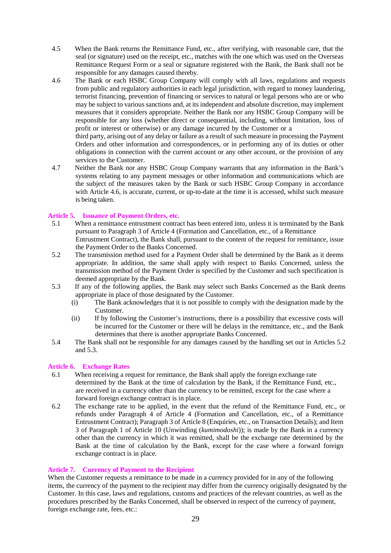- 4.5 When the Bank returns the Remittance Fund, etc., after verifying, with reasonable care, that the seal (or signature) used on the receipt, etc., matches with the one which was used on the Overseas Remittance Request Form or a seal or signature registered with the Bank, the Bank shall not be responsible for any damages caused thereby.
- 4.6 The Bank or each HSBC Group Company will comply with all laws, regulations and requests from public and regulatory authorities in each legal jurisdiction, with regard to money laundering, terrorist financing, prevention of financing or services to natural or legal persons who are or who may be subject to various sanctions and, at its independent and absolute discretion, may implement measures that it considers appropriate. Neither the Bank nor any HSBC Group Company will be responsible for any loss (whether direct or consequential, including, without limitation, loss of profit or interest or otherwise) or any damage incurred by the Customer or a

third party, arising out of any delay or failure as a result of such measure in processing the Payment Orders and other information and correspondences, or in performing any of its duties or other obligations in connection with the current account or any other account, or the provision of any services to the Customer.

4.7 Neither the Bank nor any HSBC Group Company warrants that any information in the Bank's systems relating to any payment messages or other information and communications which are the subject of the measures taken by the Bank or such HSBC Group Company in accordance with Article 4.6, is accurate, current, or up-to-date at the time it is accessed, whilst such measure is being taken.

# **Article 5. Issuance of Payment Orders, etc.**

- 5.1 When a remittance entrustment contract has been entered into, unless it is terminated by the Bank pursuant to Paragraph 3 of Article 4 (Formation and Cancellation, etc., of a Remittance Entrustment Contract), the Bank shall, pursuant to the content of the request for remittance, issue the Payment Order to the Banks Concerned.
- 5.2 The transmission method used for a Payment Order shall be determined by the Bank as it deems appropriate. In addition, the same shall apply with respect to Banks Concerned, unless the transmission method of the Payment Order is specified by the Customer and such specification is deemed appropriate by the Bank.
- 5.3 If any of the following applies, the Bank may select such Banks Concerned as the Bank deems appropriate in place of those designated by the Customer.
	- (i) The Bank acknowledges that it is not possible to comply with the designation made by the Customer.
	- (ii) If by following the Customer's instructions, there is a possibility that excessive costs will be incurred for the Customer or there will be delays in the remittance, etc., and the Bank determines that there is another appropriate Banks Concerned.
- 5.4 The Bank shall not be responsible for any damages caused by the handling set out in Articles 5.2 and 5.3.

# **Article 6. Exchange Rates**

- 6.1 When receiving a request for remittance, the Bank shall apply the foreign exchange rate determined by the Bank at the time of calculation by the Bank, if the Remittance Fund, etc., are received in a currency other than the currency to be remitted, except for the case where a forward foreign exchange contract is in place.
- 6.2 The exchange rate to be applied, in the event that the refund of the Remittance Fund, etc., or refunds under Paragraph 4 of Article 4 (Formation and Cancellation, etc., of a Remittance Entrustment Contract); Paragraph 3 of Article 8 (Enquiries, etc., on Transaction Details); and Item 3 of Paragraph 1 of Article 10 (Unwinding (*kumimodoshi*)); is made by the Bank in a currency other than the currency in which it was remitted, shall be the exchange rate determined by the Bank at the time of calculation by the Bank, except for the case where a forward foreign exchange contract is in place.

# **Article 7. Currency of Payment to the Recipient**

When the Customer requests a remittance to be made in a currency provided for in any of the following items, the currency of the payment to the recipient may differ from the currency originally designated by the Customer. In this case, laws and regulations, customs and practices of the relevant countries, as well as the procedures prescribed by the Banks Concerned, shall be observed in respect of the currency of payment, foreign exchange rate, fees, etc.: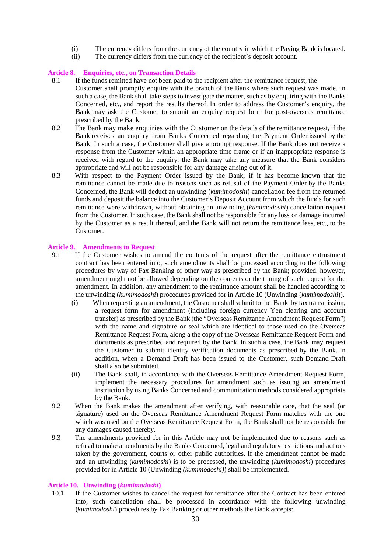- (i) The currency differs from the currency of the country in which the Paying Bank is located.
- (ii) The currency differs from the currency of the recipient's deposit account.

# **Article 8. Enquiries, etc., on Transaction Details**

- 8.1 If the funds remitted have not been paid to the recipient after the remittance request, the Customer shall promptly enquire with the branch of the Bank where such request was made. In such a case, the Bank shall take steps to investigate the matter, such as by enquiring with the Banks Concerned, etc., and report the results thereof. In order to address the Customer's enquiry, the Bank may ask the Customer to submit an enquiry request form for post-overseas remittance prescribed by the Bank.
- 8.2 The Bank may make enquiries with the Customer on the details of the remittance request, if the Bank receives an enquiry from Banks Concerned regarding the Payment Order issued by the Bank. In such a case, the Customer shall give a prompt response. If the Bank does not receive a response from the Customer within an appropriate time frame or if an inappropriate response is received with regard to the enquiry, the Bank may take any measure that the Bank considers appropriate and will not be responsible for any damage arising out of it.
- 8.3 With respect to the Payment Order issued by the Bank, if it has become known that the remittance cannot be made due to reasons such as refusal of the Payment Order by the Banks Concerned, the Bank will deduct an unwinding (*kumimodoshi*) cancellation fee from the returned funds and deposit the balance into the Customer's Deposit Account from which the funds for such remittance were withdrawn, without obtaining an unwinding (*kumimodoshi*) cancellation request from the Customer. In such case, the Bank shall not be responsible for any loss or damage incurred by the Customer as a result thereof, and the Bank will not return the remittance fees, etc., to the Customer.

## **Article 9. Amendments to Request**

- 9.1 If the Customer wishes to amend the contents of the request after the remittance entrustment contract has been entered into, such amendments shall be processed according to the following procedures by way of Fax Banking or other way as prescribed by the Bank; provided, however, amendment might not be allowed depending on the contents or the timing of such request for the amendment. In addition, any amendment to the remittance amount shall be handled according to the unwinding (*kumimodoshi*) procedures provided for in Article 10 (Unwinding (*kumimodoshi*)).
	- (i) When requesting an amendment, the Customer shall submit to the Bank by fax transmission, a request form for amendment (including foreign currency Yen clearing and account transfer) as prescribed by the Bank (the "Overseas Remittance Amendment Request Form") with the name and signature or seal which are identical to those used on the Overseas Remittance Request Form, along a the copy of the Overseas Remittance Request Form and documents as prescribed and required by the Bank. In such a case, the Bank may request the Customer to submit identity verification documents as prescribed by the Bank. In addition, when a Demand Draft has been issued to the Customer, such Demand Draft shall also be submitted.
	- (ii) The Bank shall, in accordance with the Overseas Remittance Amendment Request Form, implement the necessary procedures for amendment such as issuing an amendment instruction by using Banks Concerned and communication methods considered appropriate by the Bank.
- 9.2 When the Bank makes the amendment after verifying, with reasonable care, that the seal (or signature) used on the Overseas Remittance Amendment Request Form matches with the one which was used on the Overseas Remittance Request Form, the Bank shall not be responsible for any damages caused thereby.
- 9.3 The amendments provided for in this Article may not be implemented due to reasons such as refusal to make amendments by the Banks Concerned, legal and regulatory restrictions and actions taken by the government, courts or other public authorities. If the amendment cannot be made and an unwinding (*kumimodoshi*) is to be processed, the unwinding (*kumimodoshi*) procedures provided for in Article 10 (Unwinding *(kumimodoshi)*) shall be implemented.

## **Article 10. Unwinding (***kumimodoshi***)**

10.1 If the Customer wishes to cancel the request for remittance after the Contract has been entered into, such cancellation shall be processed in accordance with the following unwinding (*kumimodoshi*) procedures by Fax Banking or other methods the Bank accepts: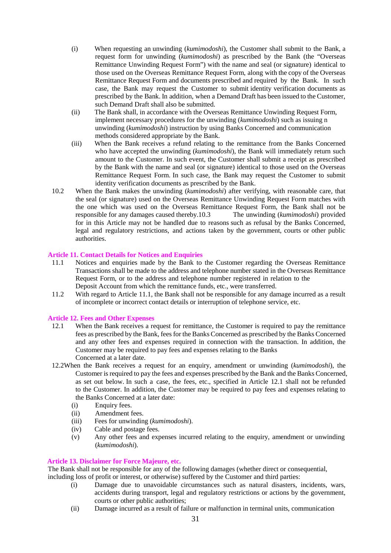- (i) When requesting an unwinding (*kumimodoshi*), the Customer shall submit to the Bank, a request form for unwinding (*kumimodoshi*) as prescribed by the Bank (the "Overseas Remittance Unwinding Request Form") with the name and seal (or signature) identical to those used on the Overseas Remittance Request Form, along with the copy of the Overseas Remittance Request Form and documents prescribed and required by the Bank. In such case, the Bank may request the Customer to submit identity verification documents as prescribed by the Bank. In addition, when a Demand Draft has been issued to the Customer, such Demand Draft shall also be submitted.
- (ii) The Bank shall, in accordance with the Overseas Remittance Unwinding Request Form, implement necessary procedures for the unwinding (*kumimodoshi*) such as issuing n unwinding (*kumimodoshi*) instruction by using Banks Concerned and communication methods considered appropriate by the Bank.
- (iii) When the Bank receives a refund relating to the remittance from the Banks Concerned who have accepted the unwinding (*kumimodoshi*), the Bank will immediately return such amount to the Customer. In such event, the Customer shall submit a receipt as prescribed by the Bank with the name and seal (or signature) identical to those used on the Overseas Remittance Request Form. In such case, the Bank may request the Customer to submit identity verification documents as prescribed by the Bank.
- 10.2 When the Bank makes the unwinding (*kumimodoshi*) after verifying, with reasonable care, that the seal (or signature) used on the Overseas Remittance Unwinding Request Form matches with the one which was used on the Overseas Remittance Request Form, the Bank shall not be responsible for any damages caused thereby.10.3 The unwinding (*kumimodoshi*) provided for in this Article may not be handled due to reasons such as refusal by the Banks Concerned, legal and regulatory restrictions, and actions taken by the government, courts or other public authorities.

# **Article 11. Contact Details for Notices and Enquiries**

- 11.1 Notices and enquiries made by the Bank to the Customer regarding the Overseas Remittance Transactions shall be made to the address and telephone number stated in the Overseas Remittance Request Form, or to the address and telephone number registered in relation to the Deposit Account from which the remittance funds, etc., were transferred.
- 11.2 With regard to Article 11.1, the Bank shall not be responsible for any damage incurred as a result of incomplete or incorrect contact details or interruption of telephone service, etc.

## **Article 12. Fees and Other Expenses**

- 12.1 When the Bank receives a request for remittance, the Customer is required to pay the remittance fees as prescribed by the Bank, fees for the Banks Concerned as prescribed by the Banks Concerned and any other fees and expenses required in connection with the transaction. In addition, the Customer may be required to pay fees and expenses relating to the Banks Concerned at a later date.
- 12.2When the Bank receives a request for an enquiry, amendment or unwinding (*kumimodoshi*), the Customer is required to pay the fees and expenses prescribed by the Bank and the Banks Concerned, as set out below. In such a case, the fees, etc., specified in Article 12.1 shall not be refunded to the Customer. In addition, the Customer may be required to pay fees and expenses relating to the Banks Concerned at a later date:
	- (i) Enquiry fees.
	- (ii) Amendment fees.
	- (iii) Fees for unwinding (*kumimodoshi*).
	- (iv) Cable and postage fees.
	- (v) Any other fees and expenses incurred relating to the enquiry, amendment or unwinding (*kumimodoshi*).

#### **Article 13. Disclaimer for Force Majeure, etc.**

The Bank shall not be responsible for any of the following damages (whether direct or consequential, including loss of profit or interest, or otherwise) suffered by the Customer and third parties:

- (i) Damage due to unavoidable circumstances such as natural disasters, incidents, wars, accidents during transport, legal and regulatory restrictions or actions by the government, courts or other public authorities;
- (ii) Damage incurred as a result of failure or malfunction in terminal units, communication